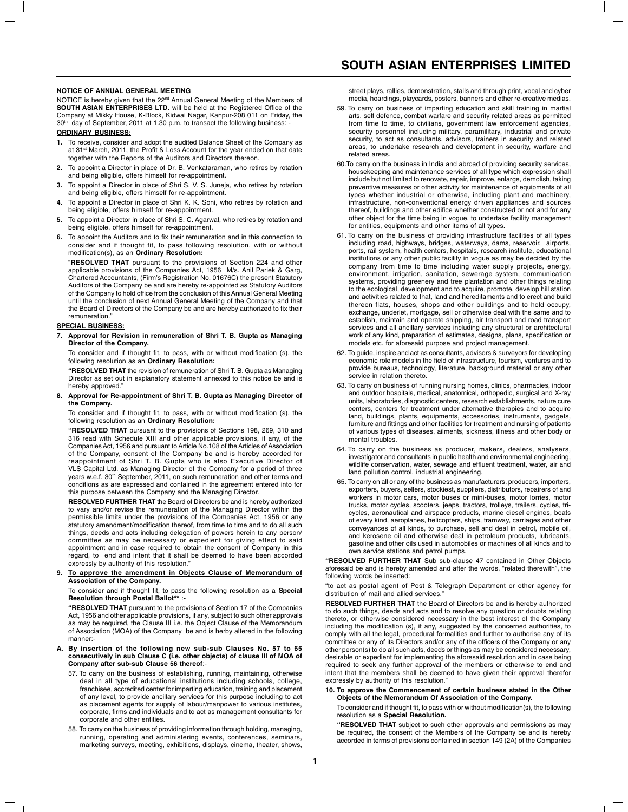#### **NOTICE OF ANNUAL GENERAL MEETING**

NOTICE is hereby given that the 22<sup>nd</sup> Annual General Meeting of the Members of **SOUTH ASIAN ENTERPRISES LTD.** will be held at the Registered Office of the Company at Mikky House, K-Block, Kidwai Nagar, Kanpur-208 011 on Friday, the 30<sup>th</sup> day of September, 2011 at 1.30 p.m. to transact the following business:

### **ORDINARY BUSINESS:**

- **1.** To receive, consider and adopt the audited Balance Sheet of the Company as at 31st March, 2011, the Profit & Loss Account for the year ended on that date<br>together with the Reports of the Auditors and Directors thereon.
- **2.** To appoint a Director in place of Dr. B. Venkataraman, who retires by rotation and being eligible, offers himself for re-appointment.
- **3.** To appoint a Director in place of Shri S. V. S. Juneja, who retires by rotation and being eligible, offers himself for re-appointment.
- **4.** To appoint a Director in place of Shri K. K. Soni, who retires by rotation and being eligible, offers himself for re-appointment.
- **5.** To appoint a Director in place of Shri S. C. Agarwal, who retires by rotation and being eligible, offers himself for re-appointment.
- **6.** To appoint the Auditors and to fix their remuneration and in this connection to consider and if thought fit, to pass following resolution, with or without modification(s), as an **Ordinary Resolution:**

"**RESOLVED THAT** pursuant to the provisions of Section 224 and other applicable provisions of the Companies Act, 1956 M/s. Anil Pariek & Garg, Chartered Accountants, (Firm's Registration No. 01676C) the present Statutory Auditors of the Company be and are hereby re-appointed as Statutory Auditors of the Company to hold office from the conclusion of this Annual General Meeting until the conclusion of next Annual General Meeting of the Company and that the Board of Directors of the Company be and are hereby authorized to fix their remuneration."

# **SPECIAL BUSINESS:**

#### **7. Approval for Revision in remuneration of Shri T. B. Gupta as Managing Director of the Company.**

To consider and if thought fit, to pass, with or without modification (s), the following resolution as an **Ordinary Resolution:**

**"RESOLVED THAT** the revision of remuneration of Shri T. B. Gupta as Managing Director as set out in explanatory statement annexed to this notice be and is hereby approved."

#### **8. Approval for Re-appointment of Shri T. B. Gupta as Managing Director of the Company.**

To consider and if thought fit, to pass, with or without modification (s), the following resolution as an **Ordinary Resolution:**

**"RESOLVED THAT** pursuant to the provisions of Sections 198, 269, 310 and 316 read with Schedule XIII and other applicable provisions, if any, of the Companies Act, 1956 and pursuant to Article No.108 of the Articles of Association of the Company, consent of the Company be and is hereby accorded for reappointment of Shri T. B. Gupta who is also Executive Director of VLS Capital Ltd. as Managing Director of the Company for a period of three years w.e.f. 30th September, 2011, on such remuneration and other terms and conditions as are expressed and contained in the agreement entered into for this purpose between the Company and the Managing Director.

**RESOLVED FURTHER THAT** the Board of Directors be and is hereby authorized to vary and/or revise the remuneration of the Managing Director within the permissible limits under the provisions of the Companies Act, 1956 or any statutory amendment/modification thereof, from time to time and to do all such things, deeds and acts including delegation of powers herein to any person/ committee as may be necessary or expedient for giving effect to said appointment and in case required to obtain the consent of Company in this regard, to end and intent that it shall be deemed to have been accorded expressly by authority of this resolution."

#### **9. To approve the amendment in Objects Clause of Memorandum of Association of the Company.**

#### To consider and if thought fit, to pass the following resolution as a **Special Resolution through Postal Ballot\*\*** :-

**"RESOLVED THAT** pursuant to the provisions of Section 17 of the Companies Act, 1956 and other applicable provisions, if any, subject to such other approvals as may be required, the Clause III i.e. the Object Clause of the Memorandum of Association (MOA) of the Company be and is herby altered in the following manner:-

#### **A. By insertion of the following new sub-sub Clauses No. 57 to 65 consecutively in sub Clause C (i.e. other objects) of clause III of MOA of Company after sub-sub Clause 56 thereof**:-

- 57. To carry on the business of establishing, running, maintaining, otherwise deal in all type of educational institutions including schools, college, franchisee, accredited center for imparting education, training and placement of any level, to provide ancillary services for this purpose including to act as placement agents for supply of labour/manpower to various institutes, corporate, firms and individuals and to act as management consultants for corporate and other entities.
- 58. To carry on the business of providing information through holding, managing, running, operating and administering events, conferences, seminars, marketing surveys, meeting, exhibitions, displays, cinema, theater, shows,

street plays, rallies, demonstration, stalls and through print, vocal and cyber media, hoardings, playcards, posters, banners and other re-creative medias.

- 59. To carry on business of imparting education and skill training in martial arts, self defence, combat warfare and security related areas as permitted from time to time, to civilians, government law enforcement agencies, security personnel including military, paramilitary, industrial and private security, to act as consultants, advisors, trainers in security and related areas, to undertake research and development in security, warfare and related areas.
- 60.To carry on the business in India and abroad of providing security services, housekeeping and maintenance services of all type which expression shall include but not limited to renovate, repair, improve, enlarge, demolish, taking preventive measures or other activity for maintenance of equipments of all types whether industrial or otherwise, including plant and machinery, infrastructure, non-conventional energy driven appliances and sources thereof, buildings and other edifice whether constructed or not and for any other object for the time being in vogue, to undertake facility management for entities, equipments and other items of all types.
- 61. To carry on the business of providing infrastructure facilities of all types including road, highways, bridges, waterways, dams, reservoir, airports, ports, rail system, health centers, hospitals, research institute, educational institutions or any other public facility in vogue as may be decided by the company from time to time including water supply projects, energy, environment, irrigation, sanitation, sewerage system, communication systems, providing greenery and tree plantation and other things relating to the ecological, development and to acquire, promote, develop hill station and activities related to that, land and hereditaments and to erect and build thereon flats, houses, shops and other buildings and to hold occupy, exchange, underlet, mortgage, sell or otherwise deal with the same and to establish, maintain and operate shipping, air transport and road transport services and all ancillary services including any structural or architectural work of any kind, preparation of estimates, designs, plans, specification or models etc. for aforesaid purpose and project management.
- 62. To guide, inspire and act as consultants, advisors & surveyors for developing economic role models in the field of infrastructure, tourism, ventures and to provide bureaus, technology, literature, background material or any other .<br>service in relation thereto.
- 63. To carry on business of running nursing homes, clinics, pharmacies, indoor and outdoor hospitals, medical, anatomical, orthopedic, surgical and X-ray units, laboratories, diagnostic centers, research establishments, nature cure centers, centers for treatment under alternative therapies and to acquire land, buildings, plants, equipments, accessories, instruments, gadgets, furniture and fittings and other facilities for treatment and nursing of patients of various types of diseases, ailments, sickness, illness and other body or mental troubles.
- 64. To carry on the business as producer, makers, dealers, analysers, investigator and consultants in public health and environmental engineering, wildlife conservation, water, sewage and effluent treatment, water, air and land pollution control, industrial engineering.
- 65. To carry on all or any of the business as manufacturers, producers, importers, exporters, buyers, sellers, stockiest, suppliers, distributors, repairers of and workers in motor cars, motor buses or mini-buses, motor lorries, motor trucks, motor cycles, scooters, jeeps, tractors, trolleys, trailers, cycles, tricycles, aeronautical and airspace products, marine diesel engines, boats of every kind, aeroplanes, helicopters, ships, tramway, carriages and other conveyances of all kinds, to purchase, sell and deal in petrol, mobile oil, and kerosene oil and otherwise deal in petroleum products, lubricants, gasoline and other oils used in automobiles or machines of all kinds and to own service stations and petrol pumps.

**"RESOLVED FURTHER THAT** Sub sub-clause 47 contained in Other Objects aforesaid be and is hereby amended and after the words, "related therewith", the following words be inserted:

"to act as postal agent of Post & Telegraph Department or other agency for distribution of mail and allied services.

**RESOLVED FURTHER THAT** the Board of Directors be and is hereby authorized to do such things, deeds and acts and to resolve any question or doubts relating thereto, or otherwise considered necessary in the best interest of the Company including the modification (s), if any, suggested by the concerned authorities, to comply with all the legal, procedural formalities and further to authorise any of its committee or any of its Directors and/or any of the officers of the Company or any other person(s) to do all such acts, deeds or things as may be considered necessary, desirable or expedient for implementing the aforesaid resolution and in case being required to seek any further approval of the members or otherwise to end and intent that the members shall be deemed to have given their approval therefor expressly by authority of this resolution."

#### **10. To approve the Commencement of certain business stated in the Other Objects of the Memorandum Of Association of the Company.**

To consider and if thought fit, to pass with or without modification(s), the following resolution as a **Special Resolution.**

**"RESOLVED THAT** subject to such other approvals and permissions as may be required, the consent of the Members of the Company be and is hereby accorded in terms of provisions contained in section 149 (2A) of the Companies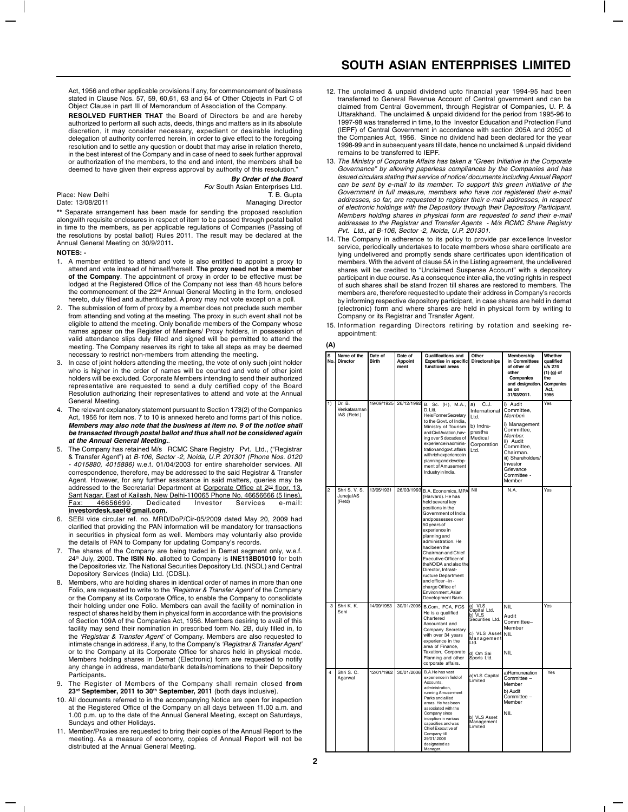Act, 1956 and other applicable provisions if any, for commencement of business stated in Clause Nos. 57, 59, 60,61, 63 and 64 of Other Objects in Part C of Object Clause in part III of Memorandum of Association of the Company.

**RESOLVED FURTHER THAT** the Board of Directors be and are hereby authorized to perform all such acts, deeds, things and matters as in its absolute discretion, it may consider necessary, expedient or desirable including delegation of authority conferred herein, in order to give effect to the foregoing resolution and to settle any question or doubt that may arise in relation thereto, in the best interest of the Company and in case of need to seek further approval or authorization of the members, to the end and intent, the members shall be deemed to have given their express approval by authority of this resolution.

| By Order of the Board            |  |
|----------------------------------|--|
| For South Asian Enterprises Ltd. |  |
| T. B. Gupta                      |  |
| <b>Managing Director</b>         |  |

**\*\*** Separate arrangement has been made for sending **t**he proposed resolution alongwith requisite enclosures in respect of item to be passed through postal ballot in time to the members, as per applicable regulations of Companies (Passing of the resolutions by postal ballot) Rules 2011. The result may be declared at the Annual General Meeting on 30/9/2011**.**

#### **NOTES: -**

Place: New Delhi<br>Date: 13/08/2011

- 1. A member entitled to attend and vote is also entitled to appoint a proxy to attend and vote instead of himself/herself. **The proxy need not be a member of the Company**. The appointment of proxy in order to be effective must be lodged at the Registered Office of the Company not less than 48 hours before the commencement of the 22<sup>nd</sup> Annual General Meeting in the form, enclosed hereto, duly filled and authenticated. A proxy may not vote except on a poll.
- The submission of form of proxy by a member does not preclude such member from attending and voting at the meeting. The proxy in such event shall not be eligible to attend the meeting. Only bonafide members of the Company whose names appear on the Register of Members/ Proxy holders, in possession of valid attendance slips duly filled and signed will be permitted to attend the meeting. The Company reserves its right to take all steps as may be deemed necessary to restrict non-members from attending the meeting.
- 3. In case of joint holders attending the meeting, the vote of only such joint holder who is higher in the order of names will be counted and vote of other joint holders will be excluded. Corporate Members intending to send their authorized representative are requested to send a duly certified copy of the Board Resolution authorizing their representatives to attend and vote at the Annual General Meeting.
- The relevant explanatory statement pursuant to Section 173(2) of the Companies Act, 1956 for item nos. 7 to 10 is annexed hereto and forms part of this notice. **Members may also note that the business at item no. 9 of the notice shall be transacted through postal ballot and thus shall not be considered again at the Annual General Meeting.**.
- The Company has retained M/s RCMC Share Registry Pvt. Ltd., ("Registrar & Transfer Agent") at B-106, Sector -2, Noida, U.P. 201301 (Phone Nos. 0120 - 4015880, 4015886) w.e.f. 01/04/2003 for entire shareholder services. All correspondence, therefore, may be addressed to the said Registrar & Transfer Agent. However, for any further assistance in said matters, queries may be addressed to the Secretarial Department at Corporate Office at 2<sup>nd</sup> floor, 13, Sant Nagar, East of Kailash, New Delhi-110065 Phone No. 46656666 (5 lines),<br>Eax: 46656699. Dedicated Investor Services e-mail: Fax: 46656699. **investordesk.sael@gmail.com**.
- 6. SEBI vide circular ref. no. MRD/DoP/Cir-05/2009 dated May 20, 2009 had clarified that providing the PAN information will be mandatory for transactions in securities in physical form as well. Members may voluntarily also provide the details of PAN to Company for updating Company's records.
- 7. The shares of the Company are being traded in Demat segment only, w.e.f. 24th July, 2000. **The ISIN No**. allotted to Company is **INE118B01010** for both the Depositories viz. The National Securities Depository Ltd. (NSDL) and Central Depository Services (India) Ltd. (CDSL).
- 8. Members, who are holding shares in identical order of names in more than one Folio, are requested to write to the 'Registrar & Transfer Agent' of the Company or the Company at its Corporate Office, to enable the Company to consolidate their holding under one Folio. Members can avail the facility of nomination in respect of shares held by them in physical form in accordance with the provisions of Section 109A of the Companies Act, 1956. Members desiring to avail of this facility may send their nomination in prescribed form No. 2B, duly filled in, to the 'Registrar & Transfer Agent' of Company. Members are also requested to intimate change in address, if any, to the Company's 'Registrar & Transfer Agent' or to the Company at its Corporate Office for shares held in physical mode. Members holding shares in Demat (Electronic) form are requested to notify any change in address, mandate/bank details/nominations to their Depository Participants**.**
- 9. The Register of Members of the Company shall remain closed **from 23rd September, 2011 to 30th September, 2011** (both days inclusive).
- 10. All documents referred to in the accompanying Notice are open for inspection at the Registered Office of the Company on all days between 11.00 a.m. and 1.00 p.m. up to the date of the Annual General Meeting, except on Saturdays, Sundays and other Holidays.
- 11. Member/Proxies are requested to bring their copies of the Annual Report to the meeting. As a measure of economy, copies of Annual Report will not be distributed at the Annual General Meeting.
- 12. The unclaimed & unpaid dividend upto financial year 1994-95 had been transferred to General Revenue Account of Central government and can be claimed from Central Government, through Registrar of Companies, U. P. & Uttarakhand. The unclaimed & unpaid dividend for the period from 1995-96 to 1997-98 was transferred in time, to the Investor Education and Protection Fund (IEPF) of Central Government in accordance with section 205A and 205C of the Companies Act, 1956. Since no dividend had been declared for the year 1998-99 and in subsequent years till date, hence no unclaimed & unpaid dividend remains to be transferred to IEPF.
- 13. The Ministry of Corporate Affairs has taken a "Green Initiative in the Corporate Governance" by allowing paperless compliances by the Companies and has issued circulars stating that service of notice/ documents including Annual Report can be sent by e-mail to its member. To support this green initiative of the Government in full measure, members who have not registered their e-mail addresses, so far, are requested to register their e-mail addresses, in respect of electronic holdings with the Depository through their Depository Participant. Members holding shares in physical form are requested to send their e-mail addresses to the Registrar and Transfer Agents - M/s RCMC Share Registry Pvt. Ltd., at B-106, Sector -2, Noida, U.P. 201301.
- 14. The Company in adherence to its policy to provide par excellence Investor service, periodically undertakes to locate members whose share certificate are lying undelivered and promptly sends share certificates upon identification of members. With the advent of clause 5A in the Listing agreement, the undelivered shares will be credited to "Unclaimed Suspense Account" with a depository participant in due course. As a consequence inter-alia, the voting rights in respect of such shares shall be stand frozen till shares are restored to members. The members are, therefore requested to update their address in Company's records by informing respective depository participant, in case shares are held in demat (electronic) form and where shares are held in physical form by writing to Company or its Registrar and Transfer Agent.
- 15. Information regarding Directors retiring by rotation and seeking reappointment:

#### **(A)**

| s<br>No. | Name of the<br><b>Director</b>        | Date of<br><b>Birth</b> | Date of<br><b>Appoint</b><br>ment | Qualifications and<br><b>Expertise in specific</b><br>functional areas                                                                                                                                                                                                                                                                                                                                                    | Other<br><b>Directorships</b>                                                                                         | Membership<br>in Committees<br>of other of<br>other<br>Companies<br>and designation.<br>as on<br>31/03/2011.                                                                                | Whether<br>qualified<br>u/s 274<br>$(1)$ $(q)$ of<br>the<br>Companies<br>Act,<br>1956 |
|----------|---------------------------------------|-------------------------|-----------------------------------|---------------------------------------------------------------------------------------------------------------------------------------------------------------------------------------------------------------------------------------------------------------------------------------------------------------------------------------------------------------------------------------------------------------------------|-----------------------------------------------------------------------------------------------------------------------|---------------------------------------------------------------------------------------------------------------------------------------------------------------------------------------------|---------------------------------------------------------------------------------------|
| 1)       | Dr. B.<br>Venkataraman<br>IAS (Retd.) | 19/09/1925              | 26/12/1992                        | B. Sc. (H), M.A.,<br>D. Litt.<br>He is Former Secretary<br>to the Govt. of India,<br>Ministry of Tourism<br>and Civil Aviation, hav-<br>ing over 5 decades of<br>experience in adminis-<br>tration and govt. affairs<br>with rich experience in<br>planning and develop-<br>ment of Amusement<br>Industry in India.                                                                                                       | C.J.<br>a)<br>International<br>Ltd.<br>b) Indra-<br>prastha<br>Medical<br>Corporation<br>Ltd.                         | i) Audit<br>Committee,<br>Memberi<br>i) Management<br>Committee,<br>Member.<br>ii) Audit<br>Committee.<br>Chairman.<br>iii) Shareholders/<br>Investor<br>Grievance<br>Committee -<br>Member | Yes                                                                                   |
| 2        | Shri S. V. S.<br>JunejalAS<br>(Retd)  | 13/05/1931              | 26/03/1993                        | B.A. Economics, MPA<br>(Harvard). He has<br>held several key<br>positions in the<br>Government of India<br>andpossesses over<br>50 years of<br>experience in<br>planning and<br>administration. He<br>had been the<br>Chairman and Chief<br>Executive Officer of<br>the NOIDA and also the<br>Director, Infrast-<br>ructure Department<br>and officer-in-<br>charge Office of<br>Environ ment, Asian<br>Development Bank. | Nil                                                                                                                   | N.A.                                                                                                                                                                                        | Yes                                                                                   |
| 3        | Shri K. K.<br>Soni                    | 14/09/1953              | 30/01/2006                        | B.Com., FCA, FCS<br>He is a qualified<br>Chartered<br>Accountant and<br>Company Secretary<br>with over 34 years<br>experience in the<br>area of Finance.<br>Taxation, Corporate<br>Planning and other<br>corporate affairs.                                                                                                                                                                                               | a) VLS<br>Capital Ltd.<br>h) VLS<br>Securities Ltd.<br>c) VLS Asset<br>Management<br>Ltd.<br>d) Om Sai<br>Sports Ltd. | <b>NIL</b><br>Audit<br>Committee-<br>Member<br><b>NIL</b><br><b>NIL</b>                                                                                                                     | Yes                                                                                   |
| 4        | Shri S. C.<br>Agarwal                 | 12/01/1962              | 30/01/2006                        | B.A.He has vast<br>experience in field of<br>Accounts,<br>administration,<br>running Amuse-ment<br>Parks and allied<br>areas. He has been<br>associated with the<br>Company since<br>inception in various<br>capacities and was<br>Chief Executive of<br>Company till<br>29/01/2006<br>designated as<br>Manager.                                                                                                          | a) VLS Capital<br>Limited<br>b) VLS Asset<br>Management<br>Limited                                                    | a)Remuneration<br>Committee -<br>Member<br>b) Audit<br>Committee -<br>Member<br><b>NIL</b>                                                                                                  | Yes                                                                                   |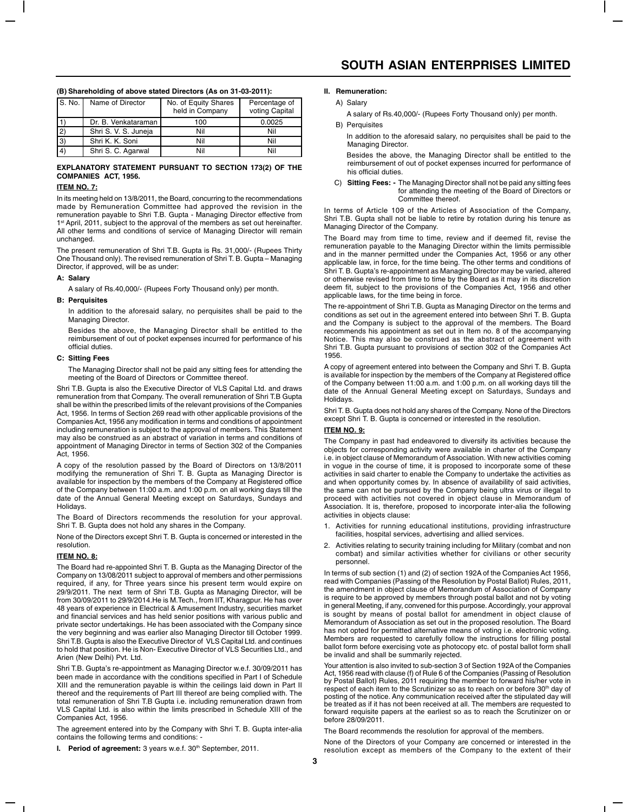## Name of Director No. of Equity Shares Percentage of held in Company voting Capital held in Company Dr. B. Venkataraman 100 0.0025 2) Shri S. V. S. Juneja Nil Nil Nil Nil 3) Shri K. K. Soni Nil Nil Nil Nil 4) Shri S. C. Agarwal Nil Nil Nil Nil

#### **(B) Shareholding of above stated Directors (As on 31-03-2011):**

#### **EXPLANATORY STATEMENT PURSUANT TO SECTION 173(2) OF THE COMPANIES ACT, 1956.**

# **ITEM NO. 7:**

In its meeting held on 13/8/2011, the Board, concurring to the recommendations made by Remuneration Committee had approved the revision in the remuneration payable to Shri T.B. Gupta - Managing Director effective from 1<sup>st</sup> April, 2011, subject to the approval of the members as set out hereinafter. All other terms and conditions of service of Managing Director will remain unchanged.

The present remuneration of Shri T.B. Gupta is Rs. 31,000/- (Rupees Thirty One Thousand only). The revised remuneration of Shri T. B. Gupta – Managing Director, if approved, will be as under:

#### **A: Salary**

A salary of Rs.40,000/- (Rupees Forty Thousand only) per month.

#### **B: Perquisites**

In addition to the aforesaid salary, no perquisites shall be paid to the Managing Director.

Besides the above, the Managing Director shall be entitled to the reimbursement of out of pocket expenses incurred for performance of his official duties.

#### **C: Sitting Fees**

The Managing Director shall not be paid any sitting fees for attending the meeting of the Board of Directors or Committee thereof.

Shri T.B. Gupta is also the Executive Director of VLS Capital Ltd. and draws remuneration from that Company. The overall remuneration of Shri T.B Gupta shall be within the prescribed limits of the relevant provisions of the Companies Act, 1956. In terms of Section 269 read with other applicable provisions of the Companies Act, 1956 any modification in terms and conditions of appointment including remuneration is subject to the approval of members. This Statement may also be construed as an abstract of variation in terms and conditions of appointment of Managing Director in terms of Section 302 of the Companies Act, 1956.

A copy of the resolution passed by the Board of Directors on 13/8/2011 modifying the remuneration of Shri T. B. Gupta as Managing Director is available for inspection by the members of the Company at Registered office of the Company between 11:00 a.m. and 1:00 p.m. on all working days till the date of the Annual General Meeting except on Saturdays, Sundays and Holidays.

The Board of Directors recommends the resolution for your approval. Shri T. B. Gupta does not hold any shares in the Company.

None of the Directors except Shri T. B. Gupta is concerned or interested in the resolution.

#### **ITEM NO. 8:**

The Board had re-appointed Shri T. B. Gupta as the Managing Director of the Company on 13/08/2011 subject to approval of members and other permissions required, if any, for Three years since his present term would expire on 29/9/2011. The next term of Shri T.B. Gupta as Managing Director, will be from 30/09/2011 to 29/9/2014.He is M.Tech., from IIT, Kharagpur. He has over 48 years of experience in Electrical & Amusement Industry, securities market and financial services and has held senior positions with various public and private sector undertakings. He has been associated with the Company since the very beginning and was earlier also Managing Director till October 1999. Shri T.B. Gupta is also the Executive Director of VLS Capital Ltd. and continues to hold that position. He is Non- Executive Director of VLS Securities Ltd., and Arien (New Delhi) Pvt. Ltd.

Shri T.B. Gupta's re-appointment as Managing Director w.e.f. 30/09/2011 has been made in accordance with the conditions specified in Part I of Schedule XIII and the remuneration payable is within the ceilings laid down in Part II thereof and the requirements of Part III thereof are being complied with. The total remuneration of Shri T.B Gupta i.e. including remuneration drawn from VLS Capital Ltd. is also within the limits prescribed in Schedule XIII of the Companies Act, 1956.

The agreement entered into by the Company with Shri T. B. Gupta inter-alia contains the following terms and conditions:

**I.** Period of agreement: 3 years w.e.f. 30<sup>th</sup> September, 2011.

#### **II. Remuneration:**

A) Salary

A salary of Rs.40,000/- (Rupees Forty Thousand only) per month.

#### **B)** Perquisites

In addition to the aforesaid salary, no perquisites shall be paid to the Managing Director.

Besides the above, the Managing Director shall be entitled to the reimbursement of out of pocket expenses incurred for performance of his official duties.

C) **Sitting Fees: -** The Managing Director shall not be paid any sitting fees for attending the meeting of the Board of Directors or Committee thereof.

In terms of Article 109 of the Articles of Association of the Company, Shri T.B. Gupta shall not be liable to retire by rotation during his tenure as Managing Director of the Company.

The Board may from time to time, review and if deemed fit, revise the remuneration payable to the Managing Director within the limits permissible and in the manner permitted under the Companies Act, 1956 or any other applicable law, in force, for the time being. The other terms and conditions of Shri T. B. Gupta's re-appointment as Managing Director may be varied, altered or otherwise revised from time to time by the Board as it may in its discretion deem fit, subject to the provisions of the Companies Act, 1956 and other applicable laws, for the time being in force.

The re-appointment of Shri T.B. Gupta as Managing Director on the terms and conditions as set out in the agreement entered into between Shri T. B. Gupta and the Company is subject to the approval of the members. The Board recommends his appointment as set out in Item no. 8 of the accompanying Notice. This may also be construed as the abstract of agreement with Shri T.B. Gupta pursuant to provisions of section 302 of the Companies Act 1956.

A copy of agreement entered into between the Company and Shri T. B. Gupta is available for inspection by the members of the Company at Registered office of the Company between 11:00 a.m. and 1:00 p.m. on all working days till the date of the Annual General Meeting except on Saturdays, Sundays and Holidays.

Shri T. B. Gupta does not hold any shares of the Company. None of the Directors except Shri T. B. Gupta is concerned or interested in the resolution.

#### **ITEM NO. 9:**

The Company in past had endeavored to diversify its activities because the objects for corresponding activity were available in charter of the Company i.e. in object clause of Memorandum of Association. With new activities coming in vogue in the course of time, it is proposed to incorporate some of these activities in said charter to enable the Company to undertake the activities as and when opportunity comes by. In absence of availability of said activities, the same can not be pursued by the Company being ultra virus or illegal to proceed with activities not covered in object clause in Memorandum of Association. It is, therefore, proposed to incorporate inter-alia the following activities in objects clause:

- 1. Activities for running educational institutions, providing infrastructure facilities, hospital services, advertising and allied services
- 2. Activities relating to security training including for Military (combat and non combat) and similar activities whether for civilians or other security personnel.

In terms of sub section (1) and (2) of section 192A of the Companies Act 1956, read with Companies (Passing of the Resolution by Postal Ballot) Rules, 2011, the amendment in object clause of Memorandum of Association of Company is require to be approved by members through postal ballot and not by voting in general Meeting, if any, convened for this purpose. Accordingly, your approval is sought by means of postal ballot for amendment in object clause of Memorandum of Association as set out in the proposed resolution. The Board has not opted for permitted alternative means of voting i.e. electronic voting. Members are requested to carefully follow the instructions for filling postal ballot form before exercising vote as photocopy etc. of postal ballot form shall be invalid and shall be summarily rejected.

Your attention is also invited to sub-section 3 of Section 192A of the Companies Act, 1956 read with clause (f) of Rule 6 of the Companies (Passing of Resolution by Postal Ballot) Rules, 2011 requiring the member to forward his/her vote in respect of each item to the Scrutinizer so as to reach on or before 30<sup>th</sup> day of posting of the notice. Any communication received after the stipulated day will be treated as if it has not been received at all. The members are requested to forward requisite papers at the earliest so as to reach the Scrutinizer on or before 28/09/2011.

The Board recommends the resolution for approval of the members.

None of the Directors of your Company are concerned or interested in the resolution except as members of the Company to the extent of their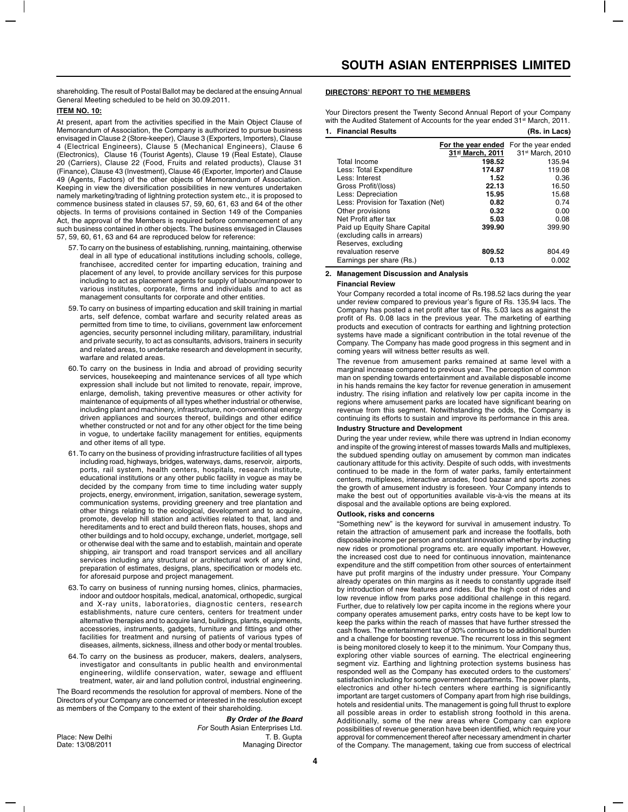shareholding. The result of Postal Ballot may be declared at the ensuing Annual General Meeting scheduled to be held on 30.09.2011.

# **ITEM NO. 10:**

At present, apart from the activities specified in the Main Object Clause of Memorandum of Association, the Company is authorized to pursue business envisaged in Clause 2 (Store-keeper), Clause 3 (Exporters, Importers), Clause 4 (Electrical Engineers), Clause 5 (Mechanical Engineers), Clause 6 (Electronics), Clause 16 (Tourist Agents), Clause 19 (Real Estate), Clause 20 (Carriers), Clause 22 (Food, Fruits and related products), Clause 31 (Finance), Clause 43 (Investment), Clause 46 (Exporter, Importer) and Clause 49 (Agents, Factors) of the other objects of Memorandum of Association. Keeping in view the diversification possibilities in new ventures undertaken namely marketing/trading of lightning protection system etc., it is proposed to commence business stated in clauses 57, 59, 60, 61, 63 and 64 of the other objects. In terms of provisions contained in Section 149 of the Companies Act, the approval of the Members is required before commencement of any such business contained in other objects. The business envisaged in Clauses 57, 59, 60, 61, 63 and 64 are reproduced below for reference:

- 57.To carry on the business of establishing, running, maintaining, otherwise deal in all type of educational institutions including schools, college, franchisee, accredited center for imparting education, training and placement of any level, to provide ancillary services for this purpose including to act as placement agents for supply of labour/manpower to various institutes, corporate, firms and individuals and to act as management consultants for corporate and other entities.
- 59.To carry on business of imparting education and skill training in martial arts, self defence, combat warfare and security related areas as permitted from time to time, to civilians, government law enforcement agencies, security personnel including military, paramilitary, industrial and private security, to act as consultants, advisors, trainers in security and related areas, to undertake research and development in security, warfare and related areas.
- 60.To carry on the business in India and abroad of providing security services, housekeeping and maintenance services of all type which expression shall include but not limited to renovate, repair, improve, enlarge, demolish, taking preventive measures or other activity for maintenance of equipments of all types whether industrial or otherwise, including plant and machinery, infrastructure, non-conventional energy driven appliances and sources thereof, buildings and other edifice whether constructed or not and for any other object for the time being in vogue, to undertake facility management for entities, equipments and other items of all type.
- 61.To carry on the business of providing infrastructure facilities of all types including road, highways, bridges, waterways, dams, reservoir, airports, ports, rail system, health centers, hospitals, research institute, educational institutions or any other public facility in vogue as may be decided by the company from time to time including water supply projects, energy, environment, irrigation, sanitation, sewerage system, communication systems, providing greenery and tree plantation and other things relating to the ecological, development and to acquire, promote, develop hill station and activities related to that, land and hereditaments and to erect and build thereon flats, houses, shops and other buildings and to hold occupy, exchange, underlet, mortgage, sell or otherwise deal with the same and to establish, maintain and operate shipping, air transport and road transport services and all ancillary services including any structural or architectural work of any kind, preparation of estimates, designs, plans, specification or models etc. for aforesaid purpose and project management.
- 63.To carry on business of running nursing homes, clinics, pharmacies, indoor and outdoor hospitals, medical, anatomical, orthopedic, surgical and X-ray units, laboratories, diagnostic centers, research establishments, nature cure centers, centers for treatment under alternative therapies and to acquire land, buildings, plants, equipments, accessories, instruments, gadgets, furniture and fittings and other facilities for treatment and nursing of patients of various types of diseases, ailments, sickness, illness and other body or mental troubles.
- 64.To carry on the business as producer, makers, dealers, analysers, investigator and consultants in public health and environmental engineering, wildlife conservation, water, sewage and effluent treatment, water, air and land pollution control, industrial engineering.

The Board recommends the resolution for approval of members. None of the Directors of your Company are concerned or interested in the resolution except as members of the Company to the extent of their shareholding.

## **By Order of the Board**

For South Asian Enterprises Ltd. Place: New Delhi **T. B. Gupta**<br>
Date: 13/08/2011 **T. B. Gupta**<br>
Managing Director Managing Director

### **DIRECTORS' REPORT TO THE MEMBERS**

Your Directors present the Twenty Second Annual Report of your Company with the Audited Statement of Accounts for the year ended 31<sup>st</sup> March, 2011. **1. Financial Results (Rs. in Lacs)**

|                                                                                     | For the year ended<br>31st March, 2011 | For the year ended<br>31 <sup>st</sup> March, 2010 |
|-------------------------------------------------------------------------------------|----------------------------------------|----------------------------------------------------|
| Total Income                                                                        | 198.52                                 | 135.94                                             |
| Less: Total Expenditure                                                             | 174.87                                 | 119.08                                             |
| Less: Interest                                                                      | 1.52                                   | 0.36                                               |
| Gross Profit/(loss)                                                                 | 22.13                                  | 16.50                                              |
| Less: Depreciation                                                                  | 15.95                                  | 15.68                                              |
| Less: Provision for Taxation (Net)                                                  | 0.82                                   | 0.74                                               |
| Other provisions                                                                    | 0.32                                   | 0.00                                               |
| Net Profit after tax                                                                | 5.03                                   | 0.08                                               |
| Paid up Equity Share Capital<br>(excluding calls in arrears)<br>Reserves, excluding | 399.90                                 | 399.90                                             |
| revaluation reserve                                                                 | 809.52                                 | 804.49                                             |
| Earnings per share (Rs.)                                                            | 0.13                                   | 0.002                                              |
|                                                                                     |                                        |                                                    |

#### **2. Management Discussion and Analysis**

#### **Financial Review**

Your Company recorded a total income of Rs.198.52 lacs during the year under review compared to previous year's figure of Rs. 135.94 lacs. The Company has posted a net profit after tax of Rs. 5.03 lacs as against the profit of Rs. 0.08 lacs in the previous year. The marketing of earthing products and execution of contracts for earthing and lightning protection systems have made a significant contribution in the total revenue of the Company. The Company has made good progress in this segment and in coming years will witness better results as well.

The revenue from amusement parks remained at same level with a marginal increase compared to previous year. The perception of common man on spending towards entertainment and available disposable income in his hands remains the key factor for revenue generation in amusement industry. The rising inflation and relatively low per capita income in the regions where amusement parks are located have significant bearing on revenue from this segment. Notwithstanding the odds, the Company is continuing its efforts to sustain and improve its performance in this area.

# **Industry Structure and Development**

During the year under review, while there was uptrend in Indian economy and inspite of the growing interest of masses towards Malls and multiplexes, the subdued spending outlay on amusement by common man indicates cautionary attitude for this activity. Despite of such odds, with investments continued to be made in the form of water parks, family entertainment centers, multiplexes, interactive arcades, food bazaar and sports zones the growth of amusement industry is foreseen. Your Company intends to make the best out of opportunities available vis-à-vis the means at its disposal and the available options are being explored.

#### **Outlook, risks and concerns**

"Something new" is the keyword for survival in amusement industry. To retain the attraction of amusement park and increase the footfalls, both disposable income per person and constant innovation whether by inducting new rides or promotional programs etc. are equally important. However, the increased cost due to need for continuous innovation, maintenance expenditure and the stiff competition from other sources of entertainment have put profit margins of the industry under pressure. Your Company already operates on thin margins as it needs to constantly upgrade itself by introduction of new features and rides. But the high cost of rides and low revenue inflow from parks pose additional challenge in this regard. Further, due to relatively low per capita income in the regions where your company operates amusement parks, entry costs have to be kept low to keep the parks within the reach of masses that have further stressed the cash flows. The entertainment tax of 30% continues to be additional burden and a challenge for boosting revenue. The recurrent loss in this segment is being monitored closely to keep it to the minimum. Your Company thus, exploring other viable sources of earning. The electrical engineering segment viz. Earthing and lightning protection systems business has responded well as the Company has executed orders to the customers' satisfaction including for some government departments. The power plants, electronics and other hi-tech centers where earthing is significantly important are target customers of Company apart from high rise buildings, hotels and residential units. The management is going full thrust to explore all possible areas in order to establish strong foothold in this arena. Additionally, some of the new areas where Company can explore possibilities of revenue generation have been identified, which require your approval for commencement thereof after necessary amendment in charter of the Company. The management, taking cue from success of electrical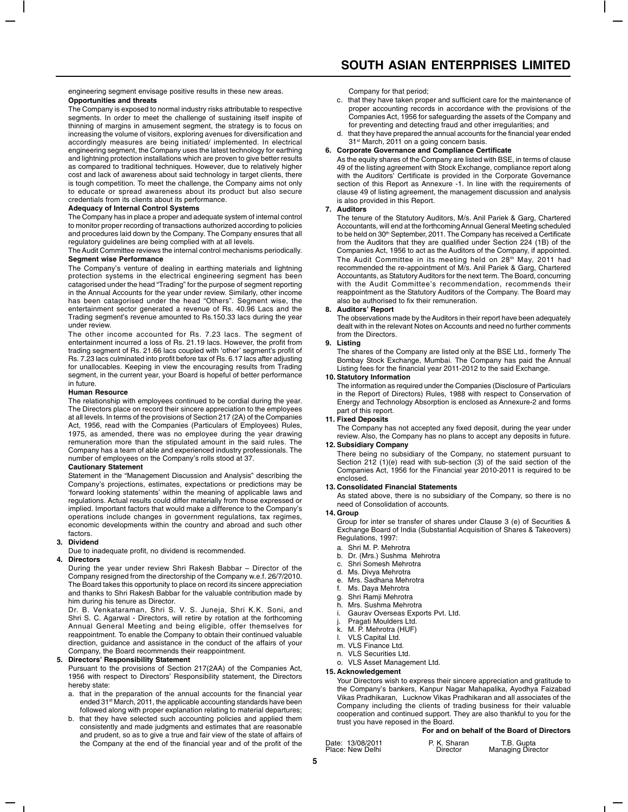engineering segment envisage positive results in these new areas. **Opportunities and threats**

The Company is exposed to normal industry risks attributable to respective segments. In order to meet the challenge of sustaining itself inspite of thinning of margins in amusement segment, the strategy is to focus on increasing the volume of visitors, exploring avenues for diversification and accordingly measures are being initiated/ implemented. In electrical engineering segment, the Company uses the latest technology for earthing and lightning protection installations which are proven to give better results as compared to traditional techniques. However, due to relatively higher cost and lack of awareness about said technology in target clients, there is tough competition. To meet the challenge, the Company aims not only to educate or spread awareness about its product but also secure credentials from its clients about its performance.

#### **Adequacy of Internal Control Systems**

The Company has in place a proper and adequate system of internal control to monitor proper recording of transactions authorized according to policies and procedures laid down by the Company. The Company ensures that all regulatory guidelines are being complied with at all levels.

The Audit Committee reviews the internal control mechanisms periodically. **Segment wise Performance**

The Company's venture of dealing in earthing materials and lightning protection systems in the electrical engineering segment has been catagorised under the head "Trading" for the purpose of segment reporting in the Annual Accounts for the year under review. Similarly, other income has been catagorised under the head "Others". Segment wise, the entertainment sector generated a revenue of Rs. 40.96 Lacs and the Trading segment's revenue amounted to Rs.150.33 lacs during the year under review.

The other income accounted for Rs. 7.23 lacs. The segment of entertainment incurred a loss of Rs. 21.19 lacs. However, the profit from trading segment of Rs. 21.66 lacs coupled with 'other' segment's profit of Rs. 7.23 lacs culminated into profit before tax of Rs. 6.17 lacs after adjusting for unallocables. Keeping in view the encouraging results from Trading segment, in the current year, your Board is hopeful of better performance in future.

#### **Human Resource**

The relationship with employees continued to be cordial during the year. The Directors place on record their sincere appreciation to the employees at all levels. In terms of the provisions of Section 217 (2A) of the Companies Act, 1956, read with the Companies (Particulars of Employees) Rules, 1975, as amended, there was no employee during the year drawing remuneration more than the stipulated amount in the said rules. The Company has a team of able and experienced industry professionals. The number of employees on the Company's rolls stood at 37.

#### **Cautionary Statement**

Statement in the "Management Discussion and Analysis" describing the Company's projections, estimates, expectations or predictions may be 'forward looking statements' within the meaning of applicable laws and regulations. Actual results could differ materially from those expressed or implied. Important factors that would make a difference to the Company's operations include changes in government regulations, tax regimes, economic developments within the country and abroad and such other factors.

# **3. Dividend**

Due to inadequate profit, no dividend is recommended.

#### **4. Directors**

During the year under review Shri Rakesh Babbar – Director of the Company resigned from the directorship of the Company w.e.f. 26/7/2010. The Board takes this opportunity to place on record its sincere appreciation and thanks to Shri Rakesh Babbar for the valuable contribution made by him during his tenure as Director.

Dr. B. Venkataraman, Shri S. V. S. Juneja, Shri K.K. Soni, and Shri S. C. Agarwal - Directors, will retire by rotation at the forthcoming Annual General Meeting and being eligible, offer themselves for reappointment. To enable the Company to obtain their continued valuable direction, guidance and assistance in the conduct of the affairs of your Company, the Board recommends their reappointment.

#### **5. Directors' Responsibility Statement**

Pursuant to the provisions of Section 217(2AA) of the Companies Act, 1956 with respect to Directors' Responsibility statement, the Directors hereby state:

- a. that in the preparation of the annual accounts for the financial year ended 31<sup>st</sup> March, 2011, the applicable accounting standards have been followed along with proper explanation relating to material departures;
- b. that they have selected such accounting policies and applied them consistently and made judgments and estimates that are reasonable and prudent, so as to give a true and fair view of the state of affairs of the Company at the end of the financial year and of the profit of the

Company for that period;

- c. that they have taken proper and sufficient care for the maintenance of proper accounting records in accordance with the provisions of the Companies Act, 1956 for safeguarding the assets of the Company and for preventing and detecting fraud and other irregularities; and
- d. that they have prepared the annual accounts for the financial year ended 31<sup>st</sup> March, 2011 on a going concern basis.

#### **6. Corporate Governance and Compliance Certificate**

As the equity shares of the Company are listed with BSE, in terms of clause 49 of the listing agreement with Stock Exchange, compliance report along with the Auditors' Certificate is provided in the Corporate Governance section of this Report as Annexure -1. In line with the requirements of clause 49 of listing agreement, the management discussion and analysis is also provided in this Report.

#### **7. Auditors**

The tenure of the Statutory Auditors, M/s. Anil Pariek & Garg, Chartered Accountants, will end at the forthcoming Annual General Meeting scheduled to be held on 30<sup>th</sup> September, 2011. The Company has received a Certificate from the Auditors that they are qualified under Section 224 (1B) of the Companies Act, 1956 to act as the Auditors of the Company, if appointed. The Audit Committee in its meeting held on 28<sup>th</sup> May, 2011 had recommended the re-appointment of M/s. Anil Pariek & Garg, Chartered Accountants, as Statutory Auditors for the next term. The Board, concurring with the Audit Committee's recommendation, recommends their reappointment as the Statutory Auditors of the Company. The Board may also be authorised to fix their remuneration.

#### **8. Auditors' Report**

The observations made by the Auditors in their report have been adequately dealt with in the relevant Notes on Accounts and need no further comments from the Directors.

#### **9. Listing**

The shares of the Company are listed only at the BSE Ltd., formerly The Bombay Stock Exchange, Mumbai. The Company has paid the Annual Listing fees for the financial year 2011-2012 to the said Exchange.

#### **10. Statutory Information**

The information as required under the Companies (Disclosure of Particulars in the Report of Directors) Rules, 1988 with respect to Conservation of Energy and Technology Absorption is enclosed as Annexure-2 and forms part of this report.

#### **11. Fixed Deposits**

The Company has not accepted any fixed deposit, during the year under review. Also, the Company has no plans to accept any deposits in future.

#### **12. Subsidiary Company**

There being no subsidiary of the Company, no statement pursuant to Section 212 (1)(e) read with sub-section (3) of the said section of the Companies Act, 1956 for the Financial year 2010-2011 is required to be enclosed.

#### **13. Consolidated Financial Statements**

As stated above, there is no subsidiary of the Company, so there is no need of Consolidation of accounts.

#### **14. Group**

Group for inter se transfer of shares under Clause 3 (e) of Securities & Exchange Board of India (Substantial Acquisition of Shares & Takeovers) Regulations, 1997:

- a. Shri M. P. Mehrotra
- b. Dr. (Mrs.) Sushma Mehrotra
- 
- c. Shri Somesh Mehrotra<br>d. Ms. Divva Mehrotra Ms. Divya Mehrotra
- e. Mrs. Sadhana Mehrotra
- f. Ms. Daya Mehrotra
- g. Shri Ramji Mehrotra
- h. Mrs. Sushma Mehrotra
- i. Gaurav Overseas Exports Pvt. Ltd.
- j. Pragati Moulders Ltd.<br>k. M. P. Mehrotra (HUF)
- M. P. Mehrotra (HUF)
- l. VLS Capital Ltd.
- m. VLS Finance Ltd.
- n. VLS Securities Ltd. o. VLS Asset Management Ltd.

#### **15. Acknowledgement**

Your Directors wish to express their sincere appreciation and gratitude to the Company's bankers, Kanpur Nagar Mahapalika, Ayodhya Faizabad Vikas Pradhikaran, Lucknow Vikas Pradhikaran and all associates of the Company including the clients of trading business for their valuable cooperation and continued support. They are also thankful to you for the trust you have reposed in the Board.

#### **For and on behalf of the Board of Directors**

| Date: 13/08/2011 | P. K. Sharan | T.B. Gupta               |  |
|------------------|--------------|--------------------------|--|
| Place: New Delhi | Director     | <b>Managing Director</b> |  |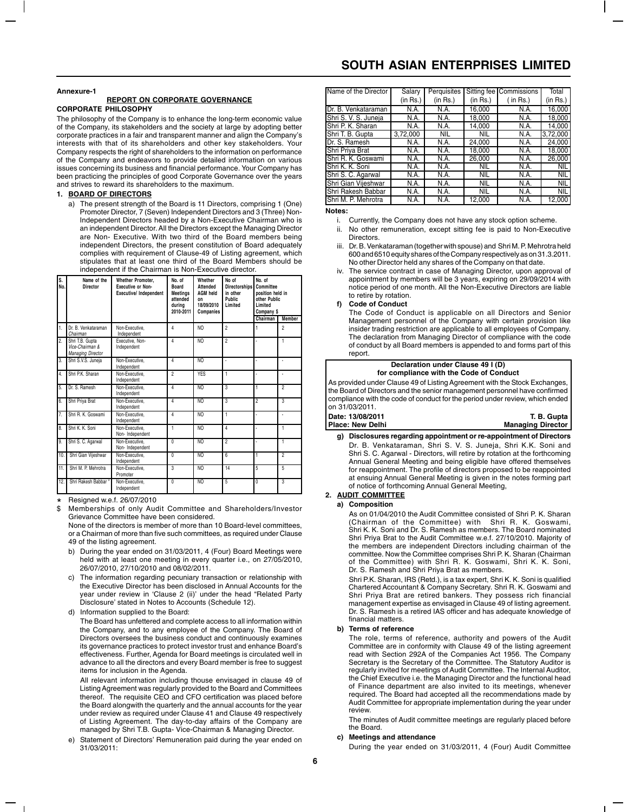#### **Annexure-1**

#### **REPORT ON CORPORATE GOVERNANCE CORPORATE PHILOSOPHY**

The philosophy of the Company is to enhance the long-term economic value of the Company, its stakeholders and the society at large by adopting better corporate practices in a fair and transparent manner and align the Company's interests with that of its shareholders and other key stakeholders. Your Company respects the right of shareholders to the information on performance of the Company and endeavors to provide detailed information on various issues concerning its business and financial performance. Your Company has been practicing the principles of good Corporate Governance over the years and strives to reward its shareholders to the maximum.

#### **1. BOARD OF DIRECTORS**

a) The present strength of the Board is 11 Directors, comprising 1 (One) Promoter Director, 7 (Seven) Independent Directors and 3 (Three) Non-Independent Directors headed by a Non-Executive Chairman who is an independent Director. All the Directors except the Managing Director are Non- Executive. With two third of the Board members being independent Directors, the present constitution of Board adequately complies with requirement of Clause-49 of Listing agreement, which stipulates that at least one third of the Board Members should be independent if the Chairman is Non-Executive director.

| S.<br>No.        | Name of the<br>Director                                        | Whether Promoter,<br><b>Executive or Non-</b><br>Executive/ Independent | No. of<br><b>Board</b><br><b>Meetings</b><br>attended<br>durina<br>2010-2011 | Whether<br>Attended<br><b>AGM held</b><br><b>nn</b><br>18/09/2010<br>Companies | No of<br><b>Directorships</b><br>in other<br><b>Public</b><br>Limited | No. of<br>Committee<br>position held in<br>other Public<br>Limited<br>Company \$ |                         |
|------------------|----------------------------------------------------------------|-------------------------------------------------------------------------|------------------------------------------------------------------------------|--------------------------------------------------------------------------------|-----------------------------------------------------------------------|----------------------------------------------------------------------------------|-------------------------|
|                  |                                                                |                                                                         |                                                                              |                                                                                |                                                                       | Chairman                                                                         | <b>Member</b>           |
| $\mathbf{1}$     | Dr. B. Venkataraman<br>Chairman                                | Non-Executive.<br>Independent                                           | 4                                                                            | NO                                                                             | $\overline{a}$                                                        |                                                                                  | $\overline{2}$          |
| $\overline{2}$ . | Shri T.B. Gupta<br>Vice-Chairman &<br><b>Managing Director</b> | Executive, Non-<br>Independent                                          | 4                                                                            | N <sub>O</sub>                                                                 | $\overline{2}$                                                        |                                                                                  | 1                       |
| 3.               | Shri S.V.S. Juneia                                             | Non-Executive,<br>Independent                                           | 4                                                                            | N <sub>O</sub>                                                                 |                                                                       |                                                                                  |                         |
| 4.               | Shri P.K. Sharan                                               | Non-Executive.<br>Independent                                           | $\overline{a}$                                                               | <b>YES</b>                                                                     | 1                                                                     |                                                                                  | ä,                      |
| 5.               | Dr. S. Ramesh                                                  | Non-Executive.<br>Independent                                           | 4                                                                            | N <sub>O</sub>                                                                 |                                                                       |                                                                                  | $\overline{2}$          |
| 6.               | Shri Priya Brat                                                | Non-Executive.<br>Independent                                           | 4                                                                            | N <sub>O</sub>                                                                 | 3                                                                     | $\overline{2}$                                                                   | 3                       |
| 7.               | Shri R. K. Goswami                                             | Non-Executive.<br>Independent                                           | 4                                                                            | N <sub>O</sub>                                                                 | 1                                                                     |                                                                                  |                         |
| $\overline{8}$ . | Shri K. K. Soni                                                | Non-Executive.<br>Non-Independent                                       | 1                                                                            | N <sub>O</sub>                                                                 | 4                                                                     |                                                                                  | 1                       |
| 9.               | Shri S. C. Agarwal                                             | Non-Executive.<br>Non-Independent                                       | $\overline{0}$                                                               | NO                                                                             | $\overline{2}$                                                        |                                                                                  | Ŧ                       |
| 10.              | Shri Gian Vijeshwar                                            | Non-Executive.<br>Independent                                           | $\overline{0}$                                                               | NO                                                                             | 6                                                                     |                                                                                  | $\overline{2}$          |
| 11.              | Shri M. P. Mehrotra                                            | Non-Executive.<br>Promoter                                              | $\overline{\mathbf{3}}$                                                      | N <sub>O</sub>                                                                 | 14                                                                    | 5                                                                                | 5                       |
| 12.              | Shri Rakesh Babbar*                                            | Non-Executive.<br>Independent                                           | $\theta$                                                                     | N <sub>O</sub>                                                                 | 5                                                                     | $\overline{0}$                                                                   | $\overline{\mathbf{3}}$ |

Resigned w.e.f. 26/07/2010

Memberships of only Audit Committee and Shareholders/Investor Grievance Committee have been considered. \*

None of the directors is member of more than 10 Board-level committees, or a Chairman of more than five such committees, as required under Clause 49 of the listing agreement.

- b) During the year ended on 31/03/2011, 4 (Four) Board Meetings were held with at least one meeting in every quarter i.e., on 27/05/2010, 26/07/2010, 27/10/2010 and 08/02/2011.
- c) The information regarding pecuniary transaction or relationship with the Executive Director has been disclosed in Annual Accounts for the year under review in 'Clause 2 (ii)' under the head "Related Party Disclosure' stated in Notes to Accounts (Schedule 12).
- Information supplied to the Board:

The Board has unfettered and complete access to all information within the Company, and to any employee of the Company. The Board of Directors oversees the business conduct and continuously examines its governance practices to protect investor trust and enhance Board's effectiveness. Further, Agenda for Board meetings is circulated well in advance to all the directors and every Board member is free to suggest items for inclusion in the Agenda.

All relevant information including thouse envisaged in clause 49 of Listing Agreement was regularly provided to the Board and Committees thereof. The requisite CEO and CFO certification was placed before the Board alongwith the quarterly and the annual accounts for the year under review as required under Clause 41 and Clause 49 respectively of Listing Agreement. The day-to-day affairs of the Company are managed by Shri T.B. Gupta- Vice-Chairman & Managing Director.

Statement of Directors' Remuneration paid during the year ended on 31/03/2011:

# **SOUTH ASIAN ENTERPRISES LIMITED**

| Name of the Director | Salary<br>(in Rs.) | Perquisites<br>(in Rs.) | (in Rs.)   | Sitting fee Commissions<br>$($ in Rs. $)$ | Total<br>(in Rs.) |
|----------------------|--------------------|-------------------------|------------|-------------------------------------------|-------------------|
| Dr. B. Venkataraman  | N.A.               | N.A.                    | 16.000     | N.A.                                      | 16.000            |
| Shri S. V. S. Juneja | N.A.               | N.A.                    | 18.000     | N.A.                                      | 18.000            |
| Shri P. K. Sharan    | N.A.               | N.A.                    | 14,000     | N.A.                                      | 14.000            |
| Shri T. B. Gupta     | 3.72.000           | <b>NIL</b>              | <b>NIL</b> | N.A.                                      | 3,72,000          |
| Dr. S. Ramesh        | N.A.               | N.A.                    | 24.000     | N.A.                                      | 24.000            |
| Shri Priya Brat      | N.A.               | N.A.                    | 18.000     | N.A.                                      | 18,000            |
| Shri R. K. Goswami   | N.A.               | N.A.                    | 26.000     | N.A.                                      | 26.000            |
| Shri K. K. Soni      | N.A.               | N.A.                    | <b>NIL</b> | N.A.                                      | <b>NIL</b>        |
| Shri S. C. Agarwal   | N.A.               | N.A.                    | <b>NIL</b> | N.A.                                      | <b>NIL</b>        |
| Shri Gian Vijeshwar  | N.A.               | N.A.                    | <b>NIL</b> | N.A.                                      | <b>NIL</b>        |
| Shri Rakesh Babbar   | N.A.               | N.A.                    | <b>NIL</b> | N.A.                                      | <b>NIL</b>        |
| Shri M. P. Mehrotra  | N.A.               | N.A.                    | 12.000     | N.A.                                      | 12.000            |

**Notes:**

- i. Currently, the Company does not have any stock option scheme.
- ii. No other remuneration, except sitting fee is paid to Non-Executive **Directors**
- iii. Dr. B. Venkataraman (together with spouse) and Shri M. P. Mehrotra held 600 and 6510 equity shares of the Company respectively as on 31.3.2011. No other Director held any shares of the Company on that date.
- iv. The service contract in case of Managing Director, upon approval of appointment by members will be 3 years, expiring on 29/09/2014 with notice period of one month. All the Non-Executive Directors are liable to retire by rotation.

#### **f) Code of Conduct**

The Code of Conduct is applicable on all Directors and Senior Management personnel of the Company with certain provision like insider trading restriction are applicable to all employees of Company. The declaration from Managing Director of compliance with the code of conduct by all Board members is appended to and forms part of this report.

#### **Declaration under Clause 49 I (D) for compliance with the Code of Conduct**

As provided under Clause 49 of Listing Agreement with the Stock Exchanges, the Board of Directors and the senior management personnel have confirmed compliance with the code of conduct for the period under review, which ended on 31/03/2011.

| Place: New Delhi<br><b>Managing Director</b> |
|----------------------------------------------|
| Date: 13/08/2011<br>T. B. Gupta              |
| -                                            |

**g) Disclosures regarding appointment or re-appointment of Directors** Dr. B. Venkataraman, Shri S. V. S. Juneja, Shri K.K. Soni and Shri S. C. Agarwal - Directors, will retire by rotation at the forthcoming Annual General Meeting and being eligible have offered themselves for reappointment. The profile of directors proposed to be reappointed at ensuing Annual General Meeting is given in the notes forming part of notice of forthcoming Annual General Meeting,

# **2. AUDIT COMMITTEE**

#### **a) Composition**

As on 01/04/2010 the Audit Committee consisted of Shri P. K. Sharan (Chairman of the Committee) with Shri R. K. Goswami, Shri K. K. Soni and Dr. S. Ramesh as members. The Board nominated Shri Priya Brat to the Audit Committee w.e.f. 27/10/2010. Majority of the members are independent Directors including chairman of the committee. Now the Committee comprises Shri P. K. Sharan (Chairman of the Committee) with Shri R. K. Goswami, Shri K. K. Soni, Dr. S. Ramesh and Shri Priya Brat as members.

Shri P.K. Sharan, IRS (Retd.), is a tax expert, Shri K. K. Soni is qualified Chartered Accountant & Company Secretary. Shri R. K. Goswami and Shri Priya Brat are retired bankers. They possess rich financial management expertise as envisaged in Clause 49 of listing agreement. Dr. S. Ramesh is a retired IAS officer and has adequate knowledge of financial matters.

#### **b) Terms of reference**

The role, terms of reference, authority and powers of the Audit Committee are in conformity with Clause 49 of the listing agreement read with Section 292A of the Companies Act 1956. The Company Secretary is the Secretary of the Committee. The Statutory Auditor is regularly invited for meetings of Audit Committee. The Internal Auditor, the Chief Executive i.e. the Managing Director and the functional head of Finance department are also invited to its meetings, whenever required. The Board had accepted all the recommendations made by Audit Committee for appropriate implementation during the year under review.

The minutes of Audit committee meetings are regularly placed before the Board.

#### **c) Meetings and attendance**

During the year ended on 31/03/2011, 4 (Four) Audit Committee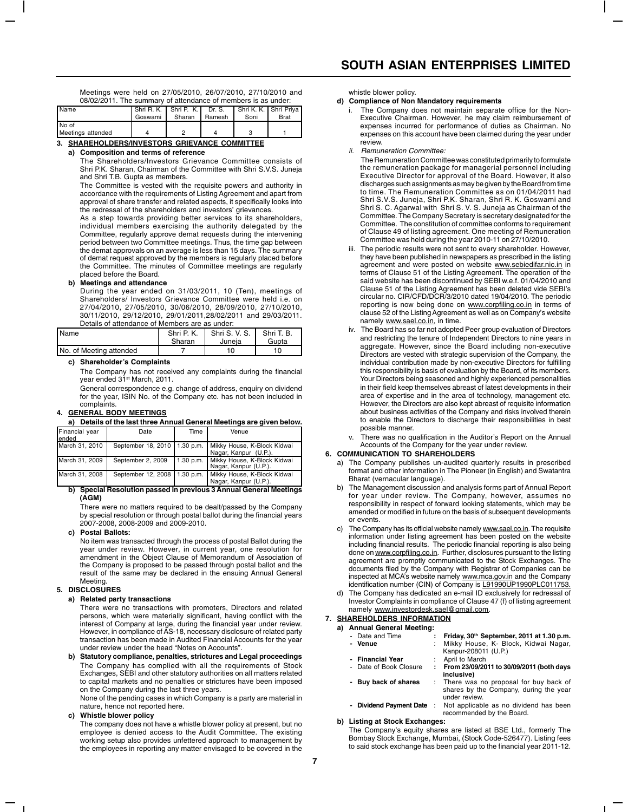Meetings were held on 27/05/2010, 26/07/2010, 27/10/2010 and 08/02/2011. The summary of attendance of members is as under:

| Name              | Shri R. K. Shri P. K.   Dr. S. |        |                 | Shri K. K. I Shri Priva |      |
|-------------------|--------------------------------|--------|-----------------|-------------------------|------|
|                   | Goswami                        | Sharan | <b>I</b> Ramesh | Soni                    | Brat |
| No of             |                                |        |                 |                         |      |
| Meetings attended |                                |        | Δ               |                         |      |

**3. SHAREHOLDERS/INVESTORS GRIEVANCE COMMITTEE**

#### **a) Composition and terms of reference**

The Shareholders/Investors Grievance Committee consists of Shri P.K. Sharan, Chairman of the Committee with Shri S.V.S. Juneja and Shri T.B. Gupta as members.

The Committee is vested with the requisite powers and authority in accordance with the requirements of Listing Agreement and apart from approval of share transfer and related aspects, it specifically looks into the redressal of the shareholders and investors' grievances.

As a step towards providing better services to its shareholders, individual members exercising the authority delegated by the Committee, regularly approve demat requests during the intervening period between two Committee meetings. Thus, the time gap between the demat approvals on an average is less than 15 days. The summary of demat request approved by the members is regularly placed before the Committee. The minutes of Committee meetings are regularly placed before the Board.

## **b) Meetings and attendance**

During the year ended on 31/03/2011, 10 (Ten), meetings of Shareholders/ Investors Grievance Committee were held i.e. on 27/04/2010, 27/05/2010, 30/06/2010, 28/09/2010, 27/10/2010, 30/11/2010, 29/12/2010, 29/01/2011,28/02/2011 and 29/03/2011. Details of attendance of Members are as under:

| Name                    | Shri P. K.<br>Sharan | Shri S. V. S.<br>Juneia | Shri T. B.<br>Gupta |  |  |
|-------------------------|----------------------|-------------------------|---------------------|--|--|
| No. of Meeting attended |                      | 10                      | 10                  |  |  |

#### **c) Shareholder's Complaints**

The Company has not received any complaints during the financial year ended 31<sup>st</sup> March, 2011.

General correspondence e.g. change of address, enquiry on dividend for the year, ISIN No. of the Company etc. has not been included in complaints.

#### **4. GENERAL BODY MEETINGS**

|  | a) Details of the last three Annual General Meetings are given below. |  |  |
|--|-----------------------------------------------------------------------|--|--|
|--|-----------------------------------------------------------------------|--|--|

| Financial year<br>ended | Date              | Time | Venue                                                                                 |
|-------------------------|-------------------|------|---------------------------------------------------------------------------------------|
| March 31, 2010          |                   |      | September 18, 2010   1.30 p.m.   Mikky House, K-Block Kidwai<br>Nagar, Kanpur (U.P.). |
| March 31, 2009          | September 2, 2009 |      | 1.30 p.m.   Mikky House, K-Block Kidwai<br>Nagar, Kanpur (U.P.).                      |
| March 31, 2008          |                   |      | September 12, 2008   1.30 p.m.   Mikky House, K-Block Kidwai<br>Nagar, Kanpur (U.P.). |

#### **b) Special Resolution passed in previous 3 Annual General Meetings (AGM)**

There were no matters required to be dealt/passed by the Company by special resolution or through postal ballot during the financial years 2007-2008, 2008-2009 and 2009-2010.

#### **c) Postal Ballots:**

No item was transacted through the process of postal Ballot during the year under review. However, in current year, one resolution for amendment in the Object Clause of Memorandum of Association of the Company is proposed to be passed through postal ballot and the result of the same may be declared in the ensuing Annual General Meeting.

### **5. DISCLOSURES**

#### **a) Related party transactions**

There were no transactions with promoters, Directors and related persons, which were materially significant, having conflict with the interest of Company at large, during the financial year under review. However, in compliance of AS-18, necessary disclosure of related party transaction has been made in Audited Financial Accounts for the year under review under the head "Notes on Accounts".

**b) Statutory compliance, penalties, strictures and Legal proceedings** The Company has complied with all the requirements of Stock Exchanges, SEBI and other statutory authorities on all matters related to capital markets and no penalties or strictures have been imposed on the Company during the last three years.

None of the pending cases in which Company is a party are material in nature, hence not reported here.

### **c) Whistle blower policy**

The company does not have a whistle blower policy at present, but no employee is denied access to the Audit Committee. The existing working setup also provides unfettered approach to management by the employees in reporting any matter envisaged to be covered in the

whistle blower policy.

# **d) Compliance of Non Mandatory requirements**

- The Company does not maintain separate office for the Non-Executive Chairman. However, he may claim reimbursement of expenses incurred for performance of duties as Chairman. No expenses on this account have been claimed during the year under review.
- ii. Remuneration Committee:
- The Remuneration Committee was constituted primarily to formulate the remuneration package for managerial personnel including Executive Director for approval of the Board. However, it also discharges such assignments as may be given by the Board from time to time. The Remuneration Committee as on 01/04/2011 had Shri S.V.S. Juneja, Shri P.K. Sharan, Shri R. K. Goswami and Shri S. C. Agarwal with Shri S. V. S. Juneja as Chairman of the Committee. The Company Secretary is secretary designated for the Committee. The constitution of committee conforms to requirement of Clause 49 of listing agreement. One meeting of Remuneration Committee was held during the year 2010-11 on 27/10/2010.
- The periodic results were not sent to every shareholder. However, they have been published in newspapers as prescribed in the listing agreement and were posted on website www.sebiedifar.nic.in in terms of Clause 51 of the Listing Agreement. The operation of the said website has been discontinued by SEBI w.e.f. 01/04/2010 and Clause 51 of the Listing Agreement has been deleted vide SEBI's circular no. CIR/CFD/DCR/3/2010 dated 19/04/2010. The periodic reporting is now being done on www.corpfiling.co.in in terms of clause 52 of the Listing Agreement as well as on Company's website namely www.sael.co.in, in time.
- iv. The Board has so far not adopted Peer group evaluation of Directors and restricting the tenure of Independent Directors to nine years in aggregate. However, since the Board including non-executive Directors are vested with strategic supervision of the Company, the individual contribution made by non-executive Directors for fulfilling this responsibility is basis of evaluation by the Board, of its members. Your Directors being seasoned and highly experienced personalities in their field keep themselves abreast of latest developments in their area of expertise and in the area of technology, management etc. However, the Directors are also kept abreast of requisite information about business activities of the Company and risks involved therein to enable the Directors to discharge their responsibilities in best possible manner.

There was no qualification in the Auditor's Report on the Annual Accounts of the Company for the year under review.

#### **6. COMMUNICATION TO SHAREHOLDERS**

- a) The Company publishes un-audited quarterly results in prescribed format and other information in The Pioneer (in English) and Swatantra Bharat (vernacular language).
- b) The Management discussion and analysis forms part of Annual Report for year under review. The Company, however, assumes no responsibility in respect of forward looking statements, which may be amended or modified in future on the basis of subsequent developments or events.
- c) The Company has its official website namely www.sael.co.in. The requisite<br>information under listing agreement has been posted on the website<br>including financial results. The periodic financial reporting is also being done on www.corpfiling.co.in. Further, disclosures pursuant to the listing agreement are promptly communicated to the Stock Exchanges. The documents filed by the Company with Registrar of Companies can be inspected at MCA's website namely www.mca.gov.in and the Company identification number (CIN) of Company is L91990UP1990PLC011753.
- d) The Company has dedicated an e-mail ID exclusively for redressal of Investor Complaints in compliance of Clause 47 (f) of listing agreement namely www.investordesk.sael@gmail.com.

# **7. SHAREHOLDERS INFORMATION**

- 
- **a) Annual General Meeting:** Friday, 30<sup>th</sup> September, 2011 at 1.30 p.m. **- Venue** : Mikky House, K- Block, Kidwai Nagar, Kanpur-208011 (U.P.) **- Financial Year** : April to March - Date of Book Closure **: From 23/09/2011 to 30/09/2011 (both days inclusive) Buy back of shares** : There was no proposal for buy back of shares by the Company, during the year under review.
	- **Dividend Payment Date** : Not applicable as no dividend has been recommended by the Board.

#### **b) Listing at Stock Exchanges:**

The Company's equity shares are listed at BSE Ltd., formerly The Bombay Stock Exchange, Mumbai, (Stock Code-526477). Listing fees to said stock exchange has been paid up to the financial year 2011-12.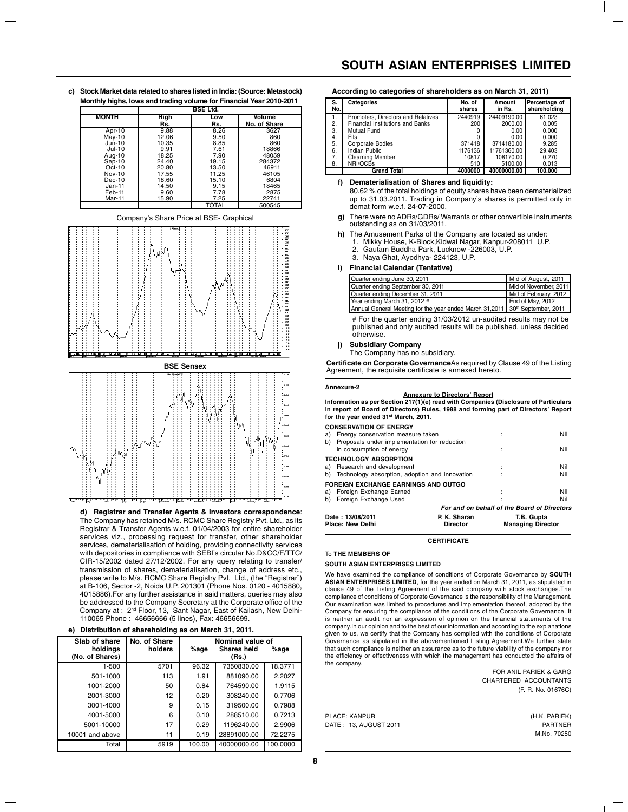**c) Stock Market data related to shares listed in India: (Source: Metastock) Monthly highs, lows and trading volume for Financial Year 2010-2011**

|              | <b>BSE Ltd.</b> |       |              |  |  |
|--------------|-----------------|-------|--------------|--|--|
| <b>MONTH</b> | High            | Low   | Volume       |  |  |
|              | Rs.             | Rs.   | No. of Share |  |  |
| Apr-10       | 9.88            | 8.26  | 3627         |  |  |
| $May-10$     | 12.06           | 9.50  | 860          |  |  |
| $Jun-10$     | 10.35           | 8.85  | 860          |  |  |
| $Jul-10$     | 9.91            | 7.61  | 18866        |  |  |
| Aug-10       | 18.25           | 7.90  | 48059        |  |  |
| $Sep-10$     | 24.40           | 19.15 | 284372       |  |  |
| $Oct-10$     | 20.80           | 13.50 | 46911        |  |  |
| Nov-10       | 17.55           | 11.25 | 46105        |  |  |
| $Dec-10$     | 18.60           | 15.10 | 6804         |  |  |
| $Jan-11$     | 14.50           | 9.15  | 18465        |  |  |
| Feb-11       | 9.60            | 7.78  | 2875         |  |  |
| Mar-11       | 15.90           | 7.25  | 22741        |  |  |
|              |                 | TOTAL | 500545       |  |  |







**d) Registrar and Transfer Agents & Investors correspondence**: The Company has retained M/s. RCMC Share Registry Pvt. Ltd., as its Registrar & Transfer Agents w.e.f. 01/04/2003 for entire shareholder services viz., processing request for transfer, other shareholder services, dematerialisation of holding, providing connectivity services with depositories in compliance with SEBI's circular No.D&CC/F/TTC/ CIR-15/2002 dated 27/12/2002. For any query relating to transfer/ transmission of shares, dematerialisation, change of address etc., please write to M/s. RCMC Share Registry Pvt. Ltd., (the "Registrar") at B-106, Sector -2, Noida U.P. 201301 (Phone Nos. 0120 - 4015880, 4015886).For any further assistance in said matters, queries may also be addressed to the Company Secretary at the Corporate office of the Company at : 2nd Floor, 13, Sant Nagar, East of Kailash, New Delhi-110065 Phone : 46656666 (5 lines), Fax: 46656699.

|  |  | e) Distribution of shareholding as on March 31, 2011. |  |  |  |
|--|--|-------------------------------------------------------|--|--|--|
|--|--|-------------------------------------------------------|--|--|--|

| No. of Share | Nominal value of |             |          |  |  |  |  |
|--------------|------------------|-------------|----------|--|--|--|--|
| holders      | %age             | Shares held | %age     |  |  |  |  |
|              |                  | (Rs.)       |          |  |  |  |  |
| 5701         | 96.32            | 7350830.00  | 18.3771  |  |  |  |  |
| 113          | 1.91             | 881090.00   | 2.2027   |  |  |  |  |
| 50           | 0.84             | 764590.00   | 1.9115   |  |  |  |  |
| 12           | 0.20             | 308240.00   | 0.7706   |  |  |  |  |
| 9            | 0.15             | 319500.00   | 0.7988   |  |  |  |  |
| 6            | 0.10             | 288510.00   | 0.7213   |  |  |  |  |
| 17           | 0.29             | 1196240.00  | 2.9906   |  |  |  |  |
| 11           | 0.19             | 28891000.00 | 72.2275  |  |  |  |  |
| 5919         | 100.00           | 40000000.00 | 100.0000 |  |  |  |  |
|              |                  |             |          |  |  |  |  |

# **SOUTH ASIAN ENTERPRISES LIMITED**

| According to categories of shareholders as on March 31, 2011) |  |  |  |  |  |  |  |  |  |  |  |
|---------------------------------------------------------------|--|--|--|--|--|--|--|--|--|--|--|
|---------------------------------------------------------------|--|--|--|--|--|--|--|--|--|--|--|

| S.<br>No. | Categories                         | No. of<br>shares | Amount<br>in Rs. | Percentage of<br>shareholding |
|-----------|------------------------------------|------------------|------------------|-------------------------------|
| 1.        | Promoters. Directors and Relatives | 2440919          | 24409190.00      | 61.023                        |
| 2.        | Financial Institutions and Banks   | 200              | 2000.00          | 0.005                         |
| 3.        | Mutual Fund                        |                  | 0.00             | 0.000                         |
| 4.        | Flls                               | 0                | 0.00             | 0.000                         |
| 5.        | <b>Corporate Bodies</b>            | 371418           | 3714180.00       | 9.285                         |
| 6.        | Indian Public                      | 1176136          | 11761360.00      | 29.403                        |
| 7.        | <b>Clearning Member</b>            | 10817            | 108170.00        | 0.270                         |
| 8.        | NRI/OCBs                           | 510              | 5100.00          | 0.013                         |
|           | <b>Grand Total</b>                 | 4000000          | 40000000.00      | 100.000                       |

## **f) Dematerialisation of Shares and liquidity:**

80.62 % of the total holdings of equity shares have been dematerialized up to 31.03.2011. Trading in Company's shares is permitted only in demat form w.e.f. 24-07-2000.

- **g)** There were no ADRs/GDRs/ Warrants or other convertible instruments outstanding as on 31/03/2011.
- **h)** The Amusement Parks of the Company are located as under:
	- 1. Mikky House, K-Block,Kidwai Nagar, Kanpur-208011 U.P. 2. Gautam Buddha Park, Lucknow -226003, U.P. 3. Naya Ghat, Ayodhya- 224123, U.P.
- **i) Financial Calendar (Tentative)**

| Quarter ending June 30, 2011                                                             | Mid of August, 2011   |
|------------------------------------------------------------------------------------------|-----------------------|
| Quarter ending September 30, 2011                                                        | Mid of November, 2011 |
| Quarter ending December 31, 2011                                                         | Mid of February, 2012 |
| Year ending March 31, 2012 #                                                             | End of May, 2012      |
| Annual General Meeting for the year ended March 31,2011 30 <sup>th</sup> September, 2011 |                       |

# For the quarter ending 31/03/2012 un-audited results may not be published and only audited results will be published, unless decided otherwise.

**j) Subsidiary Company**

The Company has no subsidiary.

**Certificate on Corporate Governance**As required by Clause 49 of the Listing Agreement, the requisite certificate is annexed hereto.

#### **Annexure-2**

#### **Annexure to Directors' Report**

**Information as per Section 217(1)(e) read with Companies (Disclosure of Particulars in report of Board of Directors) Rules, 1988 and forming part of Directors' Report for the year ended 31st March, 2011.**

#### **CONSERVATION OF ENERGY**

|                  | Place: New Delhi                                                         | <b>Director</b>                             | <b>Managing Director</b> |
|------------------|--------------------------------------------------------------------------|---------------------------------------------|--------------------------|
| Date: 13/08/2011 |                                                                          | P. K. Sharan                                | T.B. Gupta               |
|                  |                                                                          | For and on behalf of the Board of Directors |                          |
|                  | b) Foreign Exchange Used                                                 |                                             | Nil                      |
|                  | FOREIGN EXCHANGE EARNINGS AND OUTGO<br>a) Foreign Exchange Earned        |                                             | Nil                      |
|                  | b) Technology absorption, adoption and innovation                        |                                             | Nil                      |
|                  | <b>TECHNOLOGY ABSORPTION</b><br>a) Research and development              |                                             | Nil                      |
| b)               | Proposals under implementation for reduction<br>in consumption of energy |                                             | Nil                      |
| a) -             | Energy conservation measure taken                                        |                                             | Nil                      |

**CERTIFICATE**

### To **THE MEMBERS OF**

#### **SOUTH ASIAN ENTERPRISES LIMITED**

We have examined the compliance of conditions of Corporate Governance by **SOUTH ASIAN ENTERPRISES LIMITED**, for the year ended on March 31, 2011, as stipulated in clause 49 of the Listing Agreement of the said company with stock exchanges.The compliance of conditions of Corporate Governance is the responsibility of the Management. Our examination was limited to procedures and implementation thereof, adopted by the Company for ensuring the compliance of the conditions of the Corporate Governance. It is neither an audit nor an expression of opinion on the financial statements of the company.In our opinion and to the best of our information and according to the explanations given to us, we certify that the Company has complied with the conditions of Corporate Governance as stipulated in the abovementioned Listing Agreement.We further state that such compliance is neither an assurance as to the future viability of the company nor the efficiency or effectiveness with which the management has conducted the affairs of the company.

> FOR ANIL PARIEK & GARG CHARTERED ACCOUNTANTS (F. R. No. 01676C)

PLACE: KANPUR (H.K. PARIEK) DATE: 13, AUGUST 2011 **PARTNER** 

M.No. 70250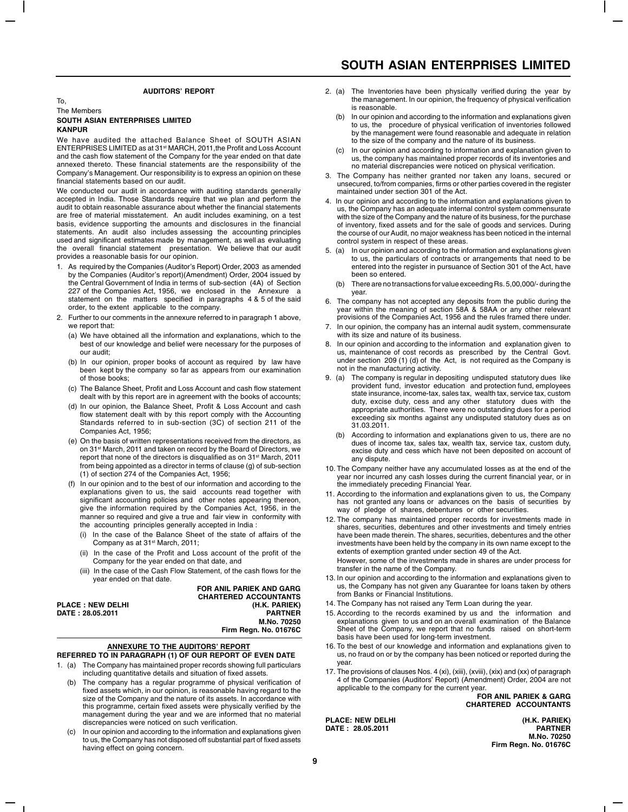#### **AUDITORS' REPORT**

#### To, The Members **SOUTH ASIAN ENTERPRISES LIMITED KANPUR**

We have audited the attached Balance Sheet of SOUTH ASIAN ENTERPRISES LIMITED as at 31st MARCH, 2011,the Profit and Loss Account and the cash flow statement of the Company for the year ended on that date annexed thereto. These financial statements are the responsibility of the Company's Management. Our responsibility is to express an opinion on these financial statements based on our audit.

We conducted our audit in accordance with auditing standards generally accepted in India. Those Standards require that we plan and perform the audit to obtain reasonable assurance about whether the financial statements are free of material misstatement. An audit includes examining, on a test basis, evidence supporting the amounts and disclosures in the financial statements. An audit also includes assessing the accounting principles used and significant estimates made by management, as well as evaluating the overall financial statement presentation. We believe that our audit provides a reasonable basis for our opinion.

- 1. As required by the Companies (Auditor's Report) Order, 2003 as amended by the Companies (Auditor's report)(Amendment) Order, 2004 issued by the Central Government of India in terms of sub-section (4A) of Section 227 of the Companies Act, 1956, we enclosed in the Annexure a statement on the matters specified in paragraphs 4 & 5 of the said order, to the extent applicable to the company.
- 2. Further to our comments in the annexure referred to in paragraph 1 above, we report that:
	- (a) We have obtained all the information and explanations, which to the best of our knowledge and belief were necessary for the purposes of our audit;
	- (b) In our opinion, proper books of account as required by law have been kept by the company so far as appears from our examination of those books;
	- (c) The Balance Sheet, Profit and Loss Account and cash flow statement dealt with by this report are in agreement with the books of accounts;
	- (d) In our opinion, the Balance Sheet, Profit & Loss Account and cash flow statement dealt with by this report comply with the Accounting Standards referred to in sub-section (3C) of section 211 of the Companies Act, 1956;
	- (e) On the basis of written representations received from the directors, as on 31st March, 2011 and taken on record by the Board of Directors, we report that none of the directors is disqualified as on 31<sup>st</sup> March, 2011 from being appointed as a director in terms of clause (g) of sub-section (1) of section 274 of the Companies Act, 1956;
	- (f) In our opinion and to the best of our information and according to the explanations given to us, the said accounts read together with significant accounting policies and other notes appearing thereon, give the information required by the Companies Act, 1956, in the manner so required and give a true and fair view in conformity with the accounting principles generally accepted in India :
		- In the case of the Balance Sheet of the state of affairs of the Company as at 31<sup>st</sup> March, 2011;
		- (ii) In the case of the Profit and Loss account of the profit of the Company for the year ended on that date, and
		- (iii) In the case of the Cash Flow Statement, of the cash flows for the year ended on that date.

**FOR ANIL PARIEK AND GARG CHARTERED ACCOUNTANTS PLACE : NEW DELHI (H.K. PARIEK) DATE: 28.05.2011 M.No. 70250 Firm Regn. No. 01676C**

# **ANNEXURE TO THE AUDITORS' REPORT**

**REFERRED TO IN PARAGRAPH (1) OF OUR REPORT OF EVEN DATE** 1. (a) The Company has maintained proper records showing full particulars

- including quantitative details and situation of fixed assets.
	- (b) The company has a regular programme of physical verification of fixed assets which, in our opinion, is reasonable having regard to the size of the Company and the nature of its assets. In accordance with this programme, certain fixed assets were physically verified by the management during the year and we are informed that no material discrepancies were noticed on such verification.
	- (c) In our opinion and according to the information and explanations given to us, the Company has not disposed off substantial part of fixed assets having effect on going concern.

# **SOUTH ASIAN ENTERPRISES LIMITED**

- 2. (a) The Inventories have been physically verified during the year by the management. In our opinion, the frequency of physical verification is reasonable.
	- (b) In our opinion and according to the information and explanations given to us, the procedure of physical verification of inventories followed by the management were found reasonable and adequate in relation to the size of the company and the nature of its business.
	- (c) In our opinion and according to information and explanation given to us, the company has maintained proper records of its inventories and no material discrepancies were noticed on physical verification.
- 3. The Company has neither granted nor taken any loans, secured or unsecured, to/from companies, firms or other parties covered in the register maintained under section 301 of the Act.
- 4. In our opinion and according to the information and explanations given to us, the Company has an adequate internal control system commensurate with the size of the Company and the nature of its business, for the purchase of inventory, fixed assets and for the sale of goods and services. During the course of our Audit, no major weakness has been noticed in the internal control system in respect of these areas.
- 5. (a) In our opinion and according to the information and explanations given to us, the particulars of contracts or arrangements that need to be entered into the register in pursuance of Section 301 of the Act, have been so entered.
	- (b) There are no transactions for value exceeding Rs. 5,00,000/- during the year.
- 6. The company has not accepted any deposits from the public during the year within the meaning of section 58A & 58AA or any other relevant provisions of the Companies Act, 1956 and the rules framed there under.
- 7. In our opinion, the company has an internal audit system, commensurate with its size and nature of its business.
- 8. In our opinion and according to the information and explanation given to us, maintenance of cost records as prescribed by the Central Govt. under section 209 (1) (d) of the Act, is not required as the Company is not in the manufacturing activity.
- 9. (a) The company is regular in depositing undisputed statutory dues like provident fund, investor education and protection fund, employees state insurance, income-tax, sales tax, wealth tax, service tax, custom duty, excise duty, cess and any other statutory dues with the appropriate authorities. There were no outstanding dues for a period exceeding six months against any undisputed statutory dues as on 31.03.2011.
	- (b) According to information and explanations given to us, there are no dues of income tax, sales tax, wealth tax, service tax, custom duty, excise duty and cess which have not been deposited on account of any dispute.
- 10. The Company neither have any accumulated losses as at the end of the year nor incurred any cash losses during the current financial year, or in the immediately preceding Financial Year.
- 11. According to the information and explanations given to us, the Company has not granted any loans or advances on the basis of securities by way of pledge of shares, debentures or other securities.
- 12. The company has maintained proper records for investments made in shares, securities, debentures and other investments and timely entries have been made therein. The shares, securities, debentures and the other investments have been held by the company in its own name except to the extents of exemption granted under section 49 of the Act.

However, some of the investments made in shares are under process for transfer in the name of the Company.

- 13. In our opinion and according to the information and explanations given to us, the Company has not given any Guarantee for loans taken by others from Banks or Financial Institutions.
- 14. The Company has not raised any Term Loan during the year.
- 15. According to the records examined by us and the information and explanations given to us and on an overall examination of the Balance Sheet of the Company, we report that no funds raised on short-term basis have been used for long-term investment.
- 16. To the best of our knowledge and information and explanations given to us, no fraud on or by the company has been noticed or reported during the year.
- 17. The provisions of clauses Nos. 4 (xi), (xiii), (xviii), (xix) and (xx) of paragraph 4 of the Companies (Auditors' Report) (Amendment) Order, 2004 are not applicable to the company for the current year.

**FOR ANIL PARIEK & GARG CHARTERED ACCOUNTANTS**

**DATE: 28.05.2011** 

**PLACE: NEW DELHI (H.K. PARIEK) M.No. 70250 Firm Regn. No. 01676C**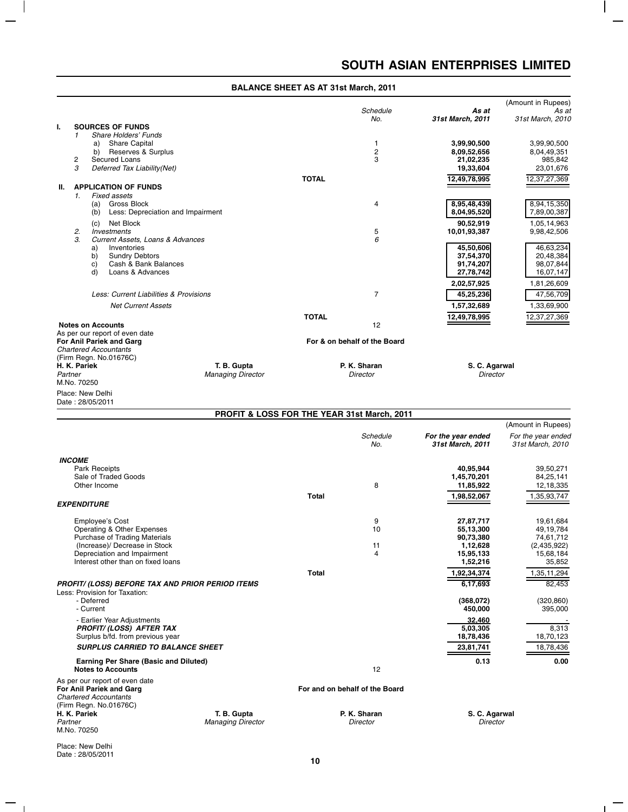$\mathsf{I}$ 

 $\overline{\phantom{0}}$ 

 $\overline{1}$ 

|         |               |                                                     |                          |              | Schedule                                    | As at                            | (Amount in Rupees)<br>As at |
|---------|---------------|-----------------------------------------------------|--------------------------|--------------|---------------------------------------------|----------------------------------|-----------------------------|
|         |               |                                                     |                          |              | No.                                         | 31st March, 2011                 | 31st March, 2010            |
| Ι.      |               | <b>SOURCES OF FUNDS</b>                             |                          |              |                                             |                                  |                             |
|         | 1             | <b>Share Holders' Funds</b>                         |                          |              |                                             |                                  |                             |
|         |               | <b>Share Capital</b><br>a)                          |                          |              | 1                                           | 3,99,90,500                      | 3.99.90.500                 |
|         |               | Reserves & Surplus<br>b)                            |                          |              | 2                                           | 8,09,52,656                      | 8,04,49,351                 |
|         | 2             | <b>Secured Loans</b>                                |                          |              | 3                                           | 21,02,235                        | 985,842                     |
|         | 3             | Deferred Tax Liability(Net)                         |                          |              |                                             | 19,33,604                        | 23,01,676                   |
|         |               |                                                     |                          | <b>TOTAL</b> |                                             | 12,49,78,995                     | 12,37,27,369                |
| Ш.      |               | <b>APPLICATION OF FUNDS</b>                         |                          |              |                                             |                                  |                             |
|         | 1.            | Fixed assets                                        |                          |              |                                             |                                  |                             |
|         |               | <b>Gross Block</b><br>(a)                           |                          |              | $\overline{4}$                              | 8,95,48,439                      | 8,94,15,350                 |
|         |               | Less: Depreciation and Impairment<br>(b)            |                          |              |                                             | 8,04,95,520                      | 7,89,00,387                 |
|         |               | Net Block<br>(c)                                    |                          |              |                                             | 90,52,919                        | 1,05,14,963                 |
|         | 2.            | <b>Investments</b>                                  |                          |              | 5                                           | 10,01,93,387                     | 9,98,42,506                 |
|         | $\mathcal{A}$ | Current Assets, Loans & Advances                    |                          |              | 6                                           |                                  |                             |
|         |               | Inventories<br>a)                                   |                          |              |                                             | 45,50,606                        | 46,63,234                   |
|         |               | b)<br><b>Sundry Debtors</b><br>Cash & Bank Balances |                          |              |                                             | 37,54,370<br>91,74,207           | 20,48,384<br>98,07,844      |
|         |               | c)<br>d)<br>Loans & Advances                        |                          |              |                                             | 27,78,742                        | 16,07,147                   |
|         |               |                                                     |                          |              |                                             |                                  |                             |
|         |               |                                                     |                          |              |                                             | 2,02,57,925                      | 1,81,26,609                 |
|         |               | Less: Current Liabilities & Provisions              |                          |              | $\overline{7}$                              | 45,25,236                        | 47,56,709                   |
|         |               | <b>Net Current Assets</b>                           |                          |              |                                             | 1,57,32,689                      | 1,33,69,900                 |
|         |               |                                                     |                          | <b>TOTAL</b> |                                             | 12,49,78,995                     | 12,37,27,369                |
|         |               | <b>Notes on Accounts</b>                            |                          |              | 12                                          |                                  |                             |
|         |               | As per our report of even date                      |                          |              |                                             |                                  |                             |
|         |               | For Anil Pariek and Garg                            |                          |              | For & on behalf of the Board                |                                  |                             |
|         |               | <b>Chartered Accountants</b>                        |                          |              |                                             |                                  |                             |
|         |               | (Firm Regn. No.01676C)                              |                          |              |                                             |                                  |                             |
|         | H. K. Pariek  |                                                     | T. B. Gupta              |              | P. K. Sharan                                | S. C. Agarwal<br><b>Director</b> |                             |
| Partner | M.No. 70250   |                                                     | <b>Managing Director</b> |              | <b>Director</b>                             |                                  |                             |
|         |               |                                                     |                          |              |                                             |                                  |                             |
|         |               | Place: New Delhi                                    |                          |              |                                             |                                  |                             |
|         |               | Date: 28/05/2011                                    |                          |              |                                             |                                  |                             |
|         |               |                                                     |                          |              | PROFIT & LOSS FOR THE YEAR 31st March, 2011 |                                  |                             |
|         |               |                                                     |                          |              |                                             |                                  | (Amount in Rupees)          |

|                                                                                                                      |                          |       |                                |                                        | (Amount in Rupees)                     |
|----------------------------------------------------------------------------------------------------------------------|--------------------------|-------|--------------------------------|----------------------------------------|----------------------------------------|
|                                                                                                                      |                          |       | Schedule<br>No.                | For the year ended<br>31st March, 2011 | For the year ended<br>31st March, 2010 |
| <b>INCOME</b>                                                                                                        |                          |       |                                |                                        |                                        |
| <b>Park Receipts</b>                                                                                                 |                          |       |                                | 40,95,944                              | 39,50,271                              |
| Sale of Traded Goods                                                                                                 |                          |       |                                | 1,45,70,201                            | 84,25,141                              |
| Other Income                                                                                                         |                          |       | 8                              | 11,85,922                              | 12,18,335                              |
|                                                                                                                      |                          | Total |                                | 1,98,52,067                            | 1,35,93,747                            |
| <b>EXPENDITURE</b>                                                                                                   |                          |       |                                |                                        |                                        |
| <b>Employee's Cost</b>                                                                                               |                          |       | 9                              | 27,87,717                              | 19,61,684                              |
| Operating & Other Expenses                                                                                           |                          |       | 10                             | 55,13,300                              | 49,19,784                              |
| <b>Purchase of Trading Materials</b>                                                                                 |                          |       |                                | 90,73,380                              | 74,61,712                              |
| (Increase)/ Decrease in Stock                                                                                        |                          |       | 11                             | 1,12,628                               | (2,435,922)                            |
| Depreciation and Impairment                                                                                          |                          |       | $\overline{4}$                 | 15,95,133                              | 15,68,184                              |
| Interest other than on fixed loans                                                                                   |                          |       |                                | 1,52,216                               | 35,852                                 |
|                                                                                                                      |                          | Total |                                | 1,92,34,374                            | 1,35,11,294                            |
| PROFIT/ (LOSS) BEFORE TAX AND PRIOR PERIOD ITEMS                                                                     |                          |       |                                | 6,17,693                               | 82,453                                 |
| Less: Provision for Taxation:                                                                                        |                          |       |                                |                                        |                                        |
| - Deferred                                                                                                           |                          |       |                                | (368,072)                              | (320, 860)                             |
| - Current                                                                                                            |                          |       |                                | 450,000                                | 395,000                                |
| - Earlier Year Adjustments                                                                                           |                          |       |                                | 32.460                                 |                                        |
| <b>PROFIT/(LOSS) AFTER TAX</b>                                                                                       |                          |       |                                | 5,03,305                               | 8,313                                  |
| Surplus b/fd. from previous year                                                                                     |                          |       |                                | 18,78,436                              | 18,70,123                              |
| <b>SURPLUS CARRIED TO BALANCE SHEET</b>                                                                              |                          |       |                                | 23,81,741                              | 18,78,436                              |
| Earning Per Share (Basic and Diluted)                                                                                |                          |       |                                | 0.13                                   | 0.00                                   |
| <b>Notes to Accounts</b>                                                                                             |                          |       | 12                             |                                        |                                        |
| As per our report of even date<br>For Anil Pariek and Garg<br><b>Chartered Accountants</b><br>(Firm Regn. No.01676C) |                          |       | For and on behalf of the Board |                                        |                                        |
| H. K. Pariek                                                                                                         | T. B. Gupta              |       | P. K. Sharan                   | S. C. Agarwal                          |                                        |
| Partner                                                                                                              | <b>Managing Director</b> |       | Director                       | Director                               |                                        |
| M.No. 70250                                                                                                          |                          |       |                                |                                        |                                        |

Place: New Delhi Date : 28/05/2011

 $=$   $+$ 

 $\overline{\phantom{a}}$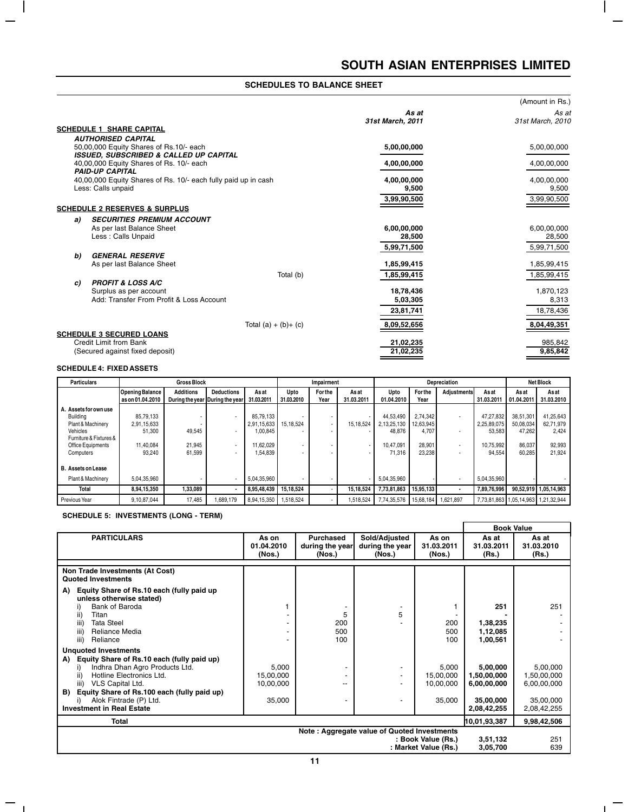$\overline{\phantom{a}}$ 

 $\overline{1}$  –

|                                                                      |                           | (Amount in Rs.)           |
|----------------------------------------------------------------------|---------------------------|---------------------------|
|                                                                      | As at<br>31st March. 2011 | As at<br>31st March. 2010 |
| <b>SCHEDULE 1 SHARE CAPITAL</b>                                      |                           |                           |
| <b>AUTHORISED CAPITAL</b>                                            |                           |                           |
| 50,00,000 Equity Shares of Rs.10/- each                              | 5,00,00,000               | 5,00,00,000               |
| ISSUED, SUBSCRIBED & CALLED UP CAPITAL                               |                           |                           |
| 40,00,000 Equity Shares of Rs. 10/- each<br><b>PAID-UP CAPITAL</b>   | 4,00,00,000               | 4,00,00,000               |
| 40,00,000 Equity Shares of Rs. 10/- each fully paid up in cash       | 4,00,00,000               | 4,00,00,000               |
| Less: Calls unpaid                                                   | 9,500                     | 9,500                     |
|                                                                      | 3,99,90,500               | 3,99,90,500               |
| <b>SCHEDULE 2 RESERVES &amp; SURPLUS</b>                             |                           |                           |
|                                                                      |                           |                           |
| <b>SECURITIES PREMIUM ACCOUNT</b><br>a)<br>As per last Balance Sheet | 6,00,00,000               | 6,00,00,000               |
| Less : Calls Unpaid                                                  | 28,500                    | 28,500                    |
|                                                                      | 5,99,71,500               | 5,99,71,500               |
| <b>GENERAL RESERVE</b><br>b)                                         |                           |                           |
| As per last Balance Sheet                                            | 1,85,99,415               | 1,85,99,415               |
| Total (b)                                                            | 1,85,99,415               | 1,85,99,415               |
| <b>PROFIT &amp; LOSS A/C</b><br>C)                                   |                           |                           |
| Surplus as per account                                               | 18,78,436                 | 1,870,123                 |
| Add: Transfer From Profit & Loss Account                             | 5,03,305                  | 8,313                     |
|                                                                      | 23,81,741                 | 18,78,436                 |
| Total $(a) + (b) + (c)$                                              | 8,09,52,656               | 8,04,49,351               |
| <b>SCHEDULE 3 SECURED LOANS</b>                                      |                           |                           |
| Credit Limit from Bank                                               | 21,02,235                 | 985,842                   |
| (Secured against fixed deposit)                                      | 21,02,235                 | 9,85,842                  |

# **SCHEDULE 4: FIXED ASSETS**

 $\overline{\phantom{a}}$ 

 $=$   $\overline{1}$ 

 $\overline{a}$ 

| <b>Particulars</b>                                                                                                                    | <b>Gross Block</b>                                        |                            |                                                      | Impairment                                                    |                                       | Depreciation           |                    |                                                           |                                                    | <b>Net Block</b>         |                                                           |                                                      |                                                     |
|---------------------------------------------------------------------------------------------------------------------------------------|-----------------------------------------------------------|----------------------------|------------------------------------------------------|---------------------------------------------------------------|---------------------------------------|------------------------|--------------------|-----------------------------------------------------------|----------------------------------------------------|--------------------------|-----------------------------------------------------------|------------------------------------------------------|-----------------------------------------------------|
|                                                                                                                                       | <b>Opening Balance</b><br>l as on 01.04.2010              | <b>Additions</b>           | <b>Deductions</b><br>During the year During the year | Asat<br>31.03.2011                                            | Upto<br>31.03.2010                    | <b>For the</b><br>Year | Asat<br>31.03.2011 | Upto<br>01.04.2010                                        | For the<br>Year                                    | <b>Adjustments</b>       | Asat<br>31.03.2011                                        | As at<br>01.04.2011                                  | Asat<br>31.03.2010                                  |
| A. Assets for own use<br><b>Building</b><br>Plant & Machinery<br>Vehicles<br>Furniture & Fixtures &<br>Office Equipments<br>Computers | 85.79.133<br>2,91,15,633<br>51.300<br>11.40.084<br>93.240 | 49,545<br>21.945<br>61.599 | $\overline{\phantom{a}}$                             | 85.79.133<br>2,91,15,633<br>1,00,845<br>11.62.029<br>1,54,839 | 15.18.524<br>$\overline{\phantom{a}}$ |                        | 15.18.524          | 44.53.490<br>2.13.25.130<br>48,876<br>10.47.091<br>71.316 | 2.74.342<br>12,63,945<br>4,707<br>28.901<br>23.238 | $\overline{\phantom{a}}$ | 47,27,832<br>2,25,89,075<br>53,583<br>10.75.992<br>94.554 | 38.51.301<br>50,08,034<br>47.262<br>86.037<br>60.285 | 41.25.643<br>62,71,979<br>2.424<br>92.993<br>21.924 |
| <b>B.</b> Assets on Lease<br>Plant & Machinery<br>Total                                                                               | 5.04.35.960<br>8,94,15,350                                | 1.33.089                   |                                                      | 5.04.35.960<br>8,95,48,439                                    | 15,18,524                             |                        | 15,18,524          | 5.04.35.960<br>7,73,81,863                                | 15.95.133                                          | $\overline{\phantom{a}}$ | 5.04.35.960<br>7.89.76.996                                |                                                      | 90,52,919 1,05,14,963                               |
| Previous Year                                                                                                                         | 9.10.87.044                                               | 17.485                     | 1.689.179                                            | 8.94.15.350                                                   | 1.518.524                             |                        | 1.518.524          | 7.74.35.576                                               |                                                    | 15.68.184   1.621.897    | 7.73.81.863 1.05.14.963 1.21.32.944                       |                                                      |                                                     |

# **SCHEDULE 5: INVESTMENTS (LONG - TERM)**

|                                                                                                                                                                                                                                                                             |                                           |                                               |                                            |                                           | <b>Book Value</b>                                   |                                                     |
|-----------------------------------------------------------------------------------------------------------------------------------------------------------------------------------------------------------------------------------------------------------------------------|-------------------------------------------|-----------------------------------------------|--------------------------------------------|-------------------------------------------|-----------------------------------------------------|-----------------------------------------------------|
| <b>PARTICULARS</b>                                                                                                                                                                                                                                                          | As on<br>01.04.2010<br>(Nos.)             | <b>Purchased</b><br>during the year<br>(Nos.) | Sold/Adjusted<br>during the year<br>(Nos.) | As on<br>31.03.2011<br>(Nos.)             | As at<br>31.03.2011<br>(Rs.)                        | As at<br>31.03.2010<br>(Rs.)                        |
| Non Trade Investments (At Cost)<br><b>Quoted Investments</b>                                                                                                                                                                                                                |                                           |                                               |                                            |                                           |                                                     |                                                     |
| Equity Share of Rs.10 each (fully paid up<br>A)<br>unless otherwise stated)<br>Bank of Baroda<br>ii)<br>Titan<br>iii)<br><b>Tata Steel</b><br>iii)<br>Reliance Media<br>iii)<br>Reliance                                                                                    |                                           | 5<br>200<br>500<br>100                        | 5                                          | 200<br>500<br>100                         | 251<br>1,38,235<br>1,12,085<br>1,00,561             | 251                                                 |
| <b>Unquoted Investments</b><br>Equity Share of Rs.10 each (fully paid up)<br>A)<br>Indhra Dhan Agro Products Ltd.<br>i)<br>Hotline Electronics Ltd.<br>ii)<br>iii)<br>VLS Capital Ltd.<br>Equity Share of Rs.100 each (fully paid up)<br>B)<br>Alok Fintrade (P) Ltd.<br>i) | 5,000<br>15,00,000<br>10,00,000<br>35,000 | --<br>٠                                       | ٠                                          | 5,000<br>15,00,000<br>10.00.000<br>35,000 | 5,00,000<br>1,50,00,000<br>6,00,00,000<br>35,00,000 | 5,00,000<br>1,50,00,000<br>6,00,00,000<br>35,00,000 |
| <b>Investment in Real Estate</b><br>Total                                                                                                                                                                                                                                   |                                           |                                               |                                            |                                           | 2,08,42,255<br>10,01,93,387                         | 2,08,42,255<br>9,98,42,506                          |
| Note: Aggregate value of Quoted Investments<br>: Book Value (Rs.)<br>: Market Value (Rs.)                                                                                                                                                                                   |                                           |                                               |                                            |                                           |                                                     | 251<br>639                                          |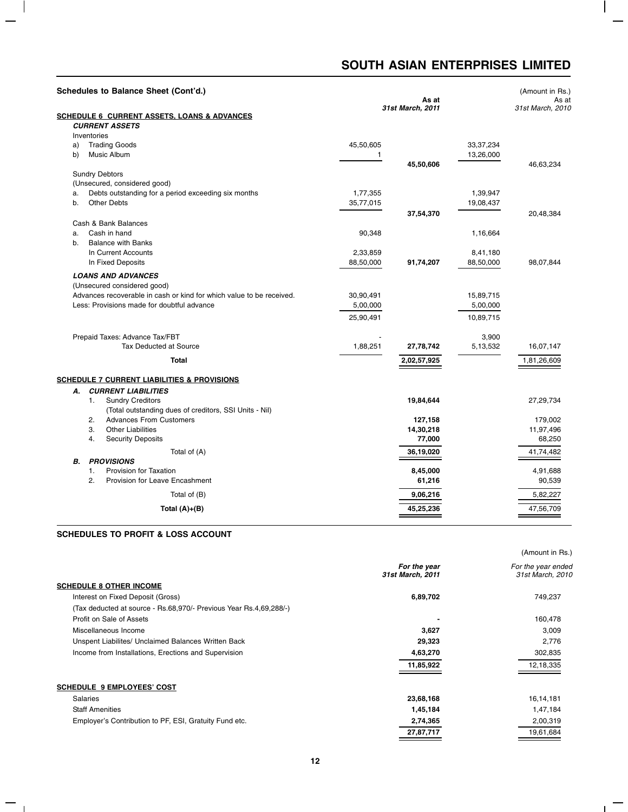$\overline{\phantom{a}}$ 

 $\overline{1}$  –

|                                            | Schedules to Balance Sheet (Cont'd.)                                                    |           | (Amount in Rs.)<br>As at  |             |                  |
|--------------------------------------------|-----------------------------------------------------------------------------------------|-----------|---------------------------|-------------|------------------|
|                                            |                                                                                         |           | As at<br>31st March, 2011 |             | 31st March, 2010 |
|                                            | <b>SCHEDULE 6 CURRENT ASSETS, LOANS &amp; ADVANCES</b>                                  |           |                           |             |                  |
|                                            | <b>CURRENT ASSETS</b>                                                                   |           |                           |             |                  |
|                                            | Inventories                                                                             |           |                           |             |                  |
| a)                                         | <b>Trading Goods</b>                                                                    | 45,50,605 |                           | 33, 37, 234 |                  |
| b)                                         | Music Album                                                                             | 1         |                           | 13,26,000   |                  |
|                                            | <b>Sundry Debtors</b>                                                                   |           | 45,50,606                 |             | 46,63,234        |
|                                            | (Unsecured, considered good)                                                            |           |                           |             |                  |
| a.                                         | Debts outstanding for a period exceeding six months                                     | 1,77,355  |                           | 1,39,947    |                  |
| b.                                         | <b>Other Debts</b>                                                                      | 35,77,015 |                           | 19,08,437   |                  |
|                                            |                                                                                         |           | 37,54,370                 |             | 20,48,384        |
|                                            | Cash & Bank Balances                                                                    |           |                           |             |                  |
| a.                                         | Cash in hand                                                                            | 90,348    |                           | 1,16,664    |                  |
| b.                                         | <b>Balance with Banks</b>                                                               |           |                           |             |                  |
|                                            | In Current Accounts                                                                     | 2,33,859  |                           | 8,41,180    |                  |
|                                            | In Fixed Deposits                                                                       | 88,50,000 | 91,74,207                 | 88,50,000   | 98,07,844        |
|                                            | <b>LOANS AND ADVANCES</b>                                                               |           |                           |             |                  |
|                                            | (Unsecured considered good)                                                             |           |                           |             |                  |
|                                            | Advances recoverable in cash or kind for which value to be received.                    | 30,90,491 |                           | 15,89,715   |                  |
| Less: Provisions made for doubtful advance |                                                                                         | 5,00,000  |                           | 5,00,000    |                  |
|                                            |                                                                                         |           |                           |             |                  |
|                                            |                                                                                         | 25,90,491 |                           | 10,89,715   |                  |
|                                            | Prepaid Taxes: Advance Tax/FBT                                                          |           |                           | 3,900       |                  |
|                                            | <b>Tax Deducted at Source</b>                                                           | 1,88,251  | 27,78,742                 | 5,13,532    | 16,07,147        |
|                                            |                                                                                         |           |                           |             |                  |
|                                            | <b>Total</b>                                                                            |           | 2,02,57,925               |             | 1,81,26,609      |
|                                            | <b>SCHEDULE 7 CURRENT LIABILITIES &amp; PROVISIONS</b>                                  |           |                           |             |                  |
|                                            |                                                                                         |           |                           |             |                  |
| А.                                         | <b>CURRENT LIABILITIES</b>                                                              |           | 19,84,644                 |             |                  |
|                                            | <b>Sundry Creditors</b><br>1.<br>(Total outstanding dues of creditors, SSI Units - Nil) |           |                           |             | 27,29,734        |
|                                            | 2.<br><b>Advances From Customers</b>                                                    |           | 127,158                   |             | 179,002          |
|                                            | 3.<br><b>Other Liabilities</b>                                                          |           | 14,30,218                 |             | 11,97,496        |
|                                            | 4.<br><b>Security Deposits</b>                                                          |           | 77,000                    |             | 68,250           |
|                                            | Total of (A)                                                                            |           | 36,19,020                 |             | 41,74,482        |
| В.                                         | <b>PROVISIONS</b>                                                                       |           |                           |             |                  |
|                                            | Provision for Taxation<br>1.                                                            |           | 8,45,000                  |             | 4,91,688         |
|                                            | 2.<br><b>Provision for Leave Encashment</b>                                             |           | 61,216                    |             | 90,539           |
|                                            |                                                                                         |           |                           |             |                  |
|                                            | Total of (B)                                                                            |           | 9,06,216                  |             | 5,82,227         |
|                                            | Total $(A)+(B)$                                                                         |           | 45,25,236                 |             | 47,56,709        |
|                                            |                                                                                         |           |                           |             |                  |

# **SCHEDULES TO PROFIT & LOSS ACCOUNT**

 $\mathbf{I}$ 

 $=$   $+$ 

÷.

|                                                                    |                                  | (Amount in Rs.)                        |
|--------------------------------------------------------------------|----------------------------------|----------------------------------------|
|                                                                    | For the year<br>31st March, 2011 | For the year ended<br>31st March, 2010 |
| <b>SCHEDULE 8 OTHER INCOME</b>                                     |                                  |                                        |
| Interest on Fixed Deposit (Gross)                                  | 6,89,702                         | 749,237                                |
| (Tax deducted at source - Rs.68,970/- Previous Year Rs.4,69,288/-) |                                  |                                        |
| Profit on Sale of Assets                                           |                                  | 160,478                                |
| Miscellaneous Income                                               | 3,627                            | 3,009                                  |
| Unspent Liabilites/ Unclaimed Balances Written Back                | 29,323                           | 2,776                                  |
| Income from Installations, Erections and Supervision               | 4,63,270                         | 302,835                                |
|                                                                    | 11,85,922                        | 12,18,335                              |
| <b>SCHEDULE 9 EMPLOYEES' COST</b>                                  |                                  |                                        |
| <b>Salaries</b>                                                    | 23,68,168                        | 16,14,181                              |
| <b>Staff Amenities</b>                                             | 1,45,184                         | 1,47,184                               |
| Employer's Contribution to PF, ESI, Gratuity Fund etc.             | 2,74,365                         | 2,00,319                               |
|                                                                    | 27,87,717                        | 19,61,684                              |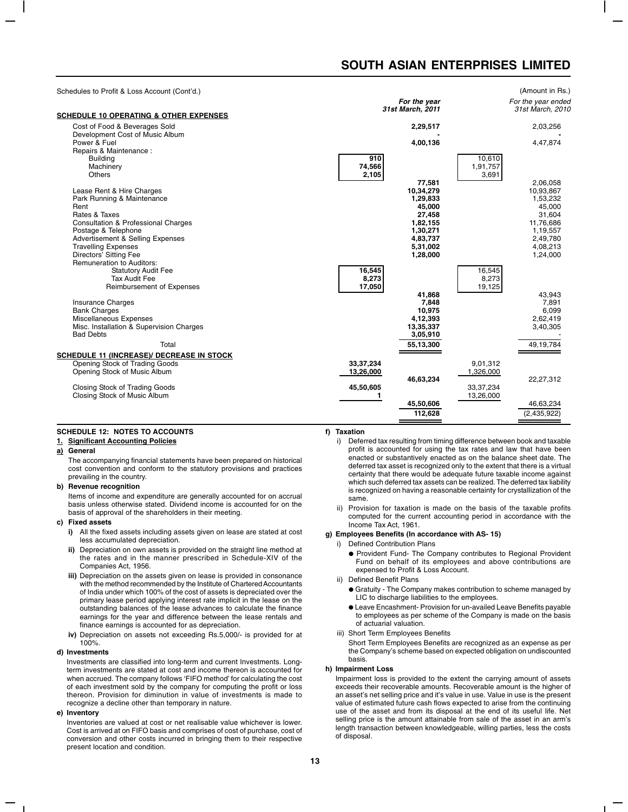(Amount in Rs.)

Schedules to Profit & Loss Account (Cont'd.)

| <b>SCHEDULE 10 OPERATING &amp; OTHER EXPENSES</b>                | For the year<br>31st March, 2011 | For the year ended<br>31st March, 2010 |
|------------------------------------------------------------------|----------------------------------|----------------------------------------|
| Cost of Food & Beverages Sold<br>Development Cost of Music Album | 2,29,517                         | 2,03,256                               |
| Power & Fuel                                                     | 4,00,136                         | 4,47,874                               |
| Repairs & Maintenance :                                          |                                  |                                        |
| <b>Building</b>                                                  | 910                              | 10,610                                 |
| Machinery                                                        | 74,566                           | 1,91,757                               |
| <b>Others</b>                                                    | 2,105                            | 3,691                                  |
|                                                                  | 77,581                           | 2,06,058                               |
| Lease Rent & Hire Charges                                        | 10,34,279                        | 10,93,867                              |
| Park Running & Maintenance                                       | 1,29,833                         | 1,53,232                               |
| Rent                                                             | 45,000                           | 45.000                                 |
| Rates & Taxes                                                    | 27,458                           | 31,604                                 |
| <b>Consultation &amp; Professional Charges</b>                   | 1,82,155                         | 11,76,686                              |
| Postage & Telephone                                              | 1,30,271                         | 1,19,557                               |
| Advertisement & Selling Expenses                                 | 4,83,737                         | 2,49,780                               |
| <b>Travelling Expenses</b>                                       | 5,31,002                         | 4,08,213                               |
| Directors' Sitting Fee                                           | 1,28,000                         | 1,24,000                               |
| <b>Remuneration to Auditors:</b>                                 |                                  |                                        |
| <b>Statutory Audit Fee</b><br><b>Tax Audit Fee</b>               | 16,545                           | 16,545                                 |
| Reimbursement of Expenses                                        | 8,273<br>17,050                  | 8,273<br>19,125                        |
|                                                                  | 41,868                           | 43.943                                 |
| <b>Insurance Charges</b>                                         | 7,848                            | 7,891                                  |
| <b>Bank Charges</b>                                              | 10,975                           | 6.099                                  |
| Miscellaneous Expenses                                           | 4,12,393                         | 2,62,419                               |
| Misc. Installation & Supervision Charges                         | 13,35,337                        | 3,40,305                               |
| <b>Bad Debts</b>                                                 | 3,05,910                         |                                        |
| Total                                                            |                                  |                                        |
|                                                                  | 55,13,300                        | 49,19,784                              |
| <b>SCHEDULE 11 (INCREASE)/ DECREASE IN STOCK</b>                 |                                  |                                        |
| Opening Stock of Trading Goods                                   | 33, 37, 234                      | 9,01,312                               |
| Opening Stock of Music Album                                     | 13,26,000                        | 1,326,000                              |
|                                                                  | 46,63,234                        | 22,27,312                              |
| Closing Stock of Trading Goods                                   | 45,50,605                        | 33, 37, 234                            |
| Closing Stock of Music Album                                     | 1                                | 13,26,000                              |
|                                                                  | 45,50,606                        | 46,63,234                              |
|                                                                  | 112,628                          | (2,435,922)                            |
|                                                                  |                                  |                                        |

# **SCHEDULE 12: NOTES TO ACCOUNTS**

#### **1. Significant Accounting Policies**

#### **a) General**

The accompanying financial statements have been prepared on historical cost convention and conform to the statutory provisions and practices prevailing in the country.

#### **b) Revenue recognition**

Items of income and expenditure are generally accounted for on accrual basis unless otherwise stated. Dividend income is accounted for on the basis of approval of the shareholders in their meeting.

### **c) Fixed assets**

- **i)** All the fixed assets including assets given on lease are stated at cost less accumulated depreciation.
- **ii)** Depreciation on own assets is provided on the straight line method at the rates and in the manner prescribed in Schedule-XIV of the Companies Act, 1956.
- **iii)** Depreciation on the assets given on lease is provided in consonance with the method recommended by the Institute of Chartered Accountants of India under which 100% of the cost of assets is depreciated over the primary lease period applying interest rate implicit in the lease on the outstanding balances of the lease advances to calculate the finance earnings for the year and difference between the lease rentals and finance earnings is accounted for as depreciation.
- **iv)** Depreciation on assets not exceeding Rs.5,000/- is provided for at 100%.

#### **d) Investments**

Investments are classified into long-term and current Investments. Longterm investments are stated at cost and income thereon is accounted for when accrued. The company follows 'FIFO method' for calculating the cost of each investment sold by the company for computing the profit or loss thereon. Provision for diminution in value of investments is made to recognize a decline other than temporary in nature.

#### **e) Inventory**

Inventories are valued at cost or net realisable value whichever is lower. Cost is arrived at on FIFO basis and comprises of cost of purchase, cost of conversion and other costs incurred in bringing them to their respective present location and condition.

# **f) Taxation**

- i) Deferred tax resulting from timing difference between book and taxable profit is accounted for using the tax rates and law that have been enacted or substantively enacted as on the balance sheet date. The deferred tax asset is recognized only to the extent that there is a virtual certainty that there would be adequate future taxable income against which such deferred tax assets can be realized. The deferred tax liability is recognized on having a reasonable certainty for crystallization of the same.
- ii) Provision for taxation is made on the basis of the taxable profits computed for the current accounting period in accordance with the Income Tax Act, 1961.

#### **g) Employees Benefits (In accordance with AS- 15)**

i) Defined Contribution Plans

● Provident Fund- The Company contributes to Regional Provident Fund on behalf of its employees and above contributions are expensed to Profit & Loss Account.

#### ii) Defined Benefit Plans

- Gratuity The Company makes contribution to scheme managed by LIC to discharge liabilities to the employees.
- Leave Encashment- Provision for un-availed Leave Benefits payable to employees as per scheme of the Company is made on the basis of actuarial valuation.
- iii) Short Term Employees Benefits

Short Term Employees Benefits are recognized as an expense as per the Company's scheme based on expected obligation on undiscounted basis.

#### **h) Impairment Loss**

Impairment loss is provided to the extent the carrying amount of assets exceeds their recoverable amounts. Recoverable amount is the higher of an asset's net selling price and it's value in use. Value in use is the present value of estimated future cash flows expected to arise from the continuing use of the asset and from its disposal at the end of its useful life. Net selling price is the amount attainable from sale of the asset in an arm's length transaction between knowledgeable, willing parties, less the costs of disposal.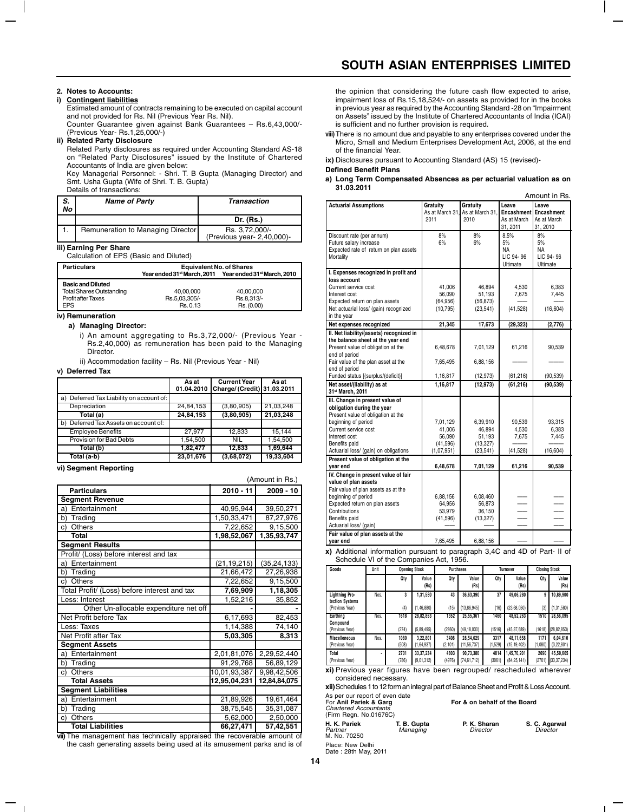# **2. Notes to Accounts:**

# **i) Contingent liabilities**

Estimated amount of contracts remaining to be executed on capital account and not provided for Rs. Nil (Previous Year Rs. Nil). Counter Guarantee given against Bank Guarantees – Rs.6,43,000/-

(Previous Year- Rs.1,25,000/-)

### **ii) Related Party Disclosure**

Related Party disclosures as required under Accounting Standard AS-18 on "Related Party Disclosures" issued by the Institute of Chartered Accountants of India are given below:

Key Managerial Personnel: - Shri. T. B Gupta (Managing Director) and Smt. Usha Gupta (Wife of Shri. T. B. Gupta) Details of transactions:

| S.<br>No | <b>Name of Party</b>              | <b>Transaction</b>                           |
|----------|-----------------------------------|----------------------------------------------|
|          |                                   | Dr. (Rs.)                                    |
|          | Remuneration to Managing Director | Rs. 3,72,000/-<br>(Previous year- 2,40,000)- |

### **iii) Earning Per Share**

| Calculation of EPS (Basic and Diluted) |                                 |                                                         |  |  |
|----------------------------------------|---------------------------------|---------------------------------------------------------|--|--|
| <b>Particulars</b>                     | <b>Equivalent No. of Shares</b> |                                                         |  |  |
|                                        |                                 | Year ended 31st March, 2011 Year ended 31st March, 2010 |  |  |
| <b>Basic and Diluted</b>               |                                 |                                                         |  |  |
| <b>Total Shares Outstanding</b>        | 40.00.000                       | 40.00.000                                               |  |  |
| <b>Profit after Taxes</b>              | Rs.5.03.305/-                   | Rs.8.313/-                                              |  |  |
| <b>EPS</b>                             | Rs. 0.13                        | Rs. (0.00)                                              |  |  |

#### **iv) Remuneration**

**a) Managing Director:**

i) An amount aggregating to Rs.3,72,000/- (Previous Year - Rs.2,40,000) as remuneration has been paid to the Managing **Director** 

ii) Accommodation facility – Rs. Nil (Previous Year - Nil)

#### **v) Deferred Tax**

|                                          | As at      | <b>Current Year</b>         | As at     |
|------------------------------------------|------------|-----------------------------|-----------|
|                                          | 01.04.2010 | Charge/ (Credit) 31.03.2011 |           |
| a) Deferred Tax Liability on account of: |            |                             |           |
| Depreciation                             | 24,84,153  | (3,80,905)                  | 21,03,248 |
| Total (a)                                | 24,84,153  | (3,80,905)                  | 21,03,248 |
| b) Deferred Tax Assets on account of:    |            |                             |           |
| <b>Employee Benefits</b>                 | 27.977     | 12,833                      | 15.144    |
| Provision for Bad Debts                  | 1,54,500   | <b>NIL</b>                  | 1,54,500  |
| Total (b)                                | 1,82,477   | 12.833                      | 1,69,644  |
| Total (a-b)                              | 23,01,676  | (3,68,072)                  | 19,33,604 |

#### **vi) Segment Reporting**

 $\blacksquare$ 

|                                              |              | (Amount in Rs.) |
|----------------------------------------------|--------------|-----------------|
| <b>Particulars</b>                           | $2010 - 11$  | $2009 - 10$     |
| <b>Segment Revenue</b>                       |              |                 |
| Entertainment<br>a)                          | 40,95,944    | 39,50,271       |
| Trading<br>b)                                | 1,50,33,471  | 87,27,976       |
| Others<br>c)                                 | 7,22,652     | 9,15,500        |
| Total                                        | 1,98,52,067  | 1,35,93,747     |
| <b>Segment Results</b>                       |              |                 |
| Profit/ (Loss) before interest and tax       |              |                 |
| Entertainment<br>a)                          | (21,19,215)  | (35, 24, 133)   |
| Trading<br>b)                                | 21,66,472    | 27,26,938       |
| Others<br>c)                                 | 7,22,652     | 9,15,500        |
| Total Profit/ (Loss) before interest and tax | 7,69,909     | 1,18,305        |
| Less: Interest                               | 1,52,216     | 35,852          |
| Other Un-allocable expenditure net off       |              |                 |
| Net Profit before Tax                        | 6,17,693     | 82,453          |
| Less: Taxes                                  | 1,14,388     | 74,140          |
| Net Profit after Tax                         | 5,03,305     | 8,313           |
| <b>Segment Assets</b>                        |              |                 |
| Entertainment<br>a)                          | 2,01,81,076  | 2,29,52,440     |
| Trading<br>b)                                | 91,29,768    | 56,89,129       |
| Others<br>c)                                 | 10,01,93,387 | 9,98,42,506     |
| <b>Total Assets</b>                          | 12,95,04,231 | 12,84,84,075    |
| <b>Segment Liabilities</b>                   |              |                 |
| Entertainment<br>a)                          | 21,89,926    | 19,61,464       |
| Trading<br>b)                                | 38,75,545    | 35,31,087       |
| <b>Others</b><br>c)                          | 5,62,000     | 2,50,000        |
| <b>Total Liabilities</b>                     | 66,27,471    | 57,42,551       |

**vii)** The management has technically appraised the recoverable amount of the cash generating assets being used at its amusement parks and is of the opinion that considering the future cash flow expected to arise, impairment loss of Rs.15,18,524/- on assets as provided for in the books in previous year as required by the Accounting Standard -28 on "Impairment on Assets" issued by the Institute of Chartered Accountants of India (ICAI) is sufficient and no further provision is required.

**viii)**There is no amount due and payable to any enterprises covered under the Micro, Small and Medium Enterprises Development Act, 2006, at the end of the financial Year.

**ix)** Disclosures pursuant to Accounting Standard (AS) 15 (revised)-

### **Defined Benefit Plans**

**a) Long Term Compensated Absences as per actuarial valuation as on 31.03.2011** Amount in Rs.

|                                          |                 |                 |             | סח ווו ווושטוור |
|------------------------------------------|-----------------|-----------------|-------------|-----------------|
| <b>Actuarial Assumptions</b>             | Gratuity        | Gratuity        | Leave       | Leave           |
|                                          | As at March 31. | As at March 31. | Encashment  | Encashment      |
|                                          | 2011            | 2010            | As at March | As at March     |
|                                          |                 |                 | 31, 2011    | 31, 2010        |
|                                          | 8%              | 8%              | 8.5%        | 8%              |
| Discount rate (per annum)                |                 |                 | 5%          |                 |
| Future salary increase                   | 6%              | 6%              |             | 5%              |
| Expected rate of return on plan assets   |                 |                 | NA          | NA              |
| Mortality                                |                 |                 | LIC 94-96   | LIC 94-96       |
|                                          |                 |                 | Ultimate    | Ultimate        |
| I. Expenses recognized in profit and     |                 |                 |             |                 |
| loss account                             |                 |                 |             |                 |
| Current service cost                     | 41.006          | 46.894          | 4.530       | 6.383           |
| Interest cost                            | 56,090          | 51,193          | 7,675       | 7,445           |
| Expected return on plan assets           | (64, 956)       | (56, 873)       |             |                 |
| Net actuarial loss/ (gain) recognized    | (10, 795)       | (23, 541)       | (41,528)    | (16, 604)       |
| in the year                              |                 |                 |             |                 |
| Net expenses recognized                  | 21,345          | 17,673          | (29, 323)   | (2,776)         |
| II. Net liability/(assets) recognized in |                 |                 |             |                 |
| the balance sheet at the year end        |                 |                 |             |                 |
| Present value of obligation at the       | 6,48,678        | 7,01,129        | 61,216      | 90,539          |
|                                          |                 |                 |             |                 |
| end of period                            |                 |                 |             |                 |
| Fair value of the plan asset at the      | 7,65,495        | 6,88,156        |             |                 |
| end of period                            |                 |                 |             |                 |
| Funded status [(surplus/(deficit)]       | 1,16,817        | (12, 973)       | (61, 216)   | (90, 539)       |
| Net asset/(liability) as at              | 1,16,817        | (12, 973)       | (61, 216)   | (90, 539)       |
| 31st March, 2011                         |                 |                 |             |                 |
| III. Change in present value of          |                 |                 |             |                 |
| obligation during the year               |                 |                 |             |                 |
| Present value of obligation at the       |                 |                 |             |                 |
| beginning of period                      | 7,01,129        | 6,39,910        | 90.539      | 93,315          |
| Current service cost                     | 41.006          | 46.894          | 4,530       | 6,383           |
| Interest cost                            | 56.090          | 51.193          | 7,675       | 7,445           |
| Benefits paid                            | (41, 596)       | (13, 327)       |             |                 |
| Actuarial loss/ (gain) on obligations    | (1,07,951)      | (23, 541)       | (41, 528)   | (16, 604)       |
| Present value of obligation at the       |                 |                 |             |                 |
| year end                                 | 6,48,678        | 7,01,129        | 61,216      | 90,539          |
| IV. Change in present value of fair      |                 |                 |             |                 |
| value of plan assets                     |                 |                 |             |                 |
| Fair value of plan assets as at the      |                 |                 |             |                 |
| beginning of period                      | 6,88,156        | 6,08,460        |             |                 |
| Expected return on plan assets           | 64,956          | 56,873          |             |                 |
| Contributions                            |                 |                 |             |                 |
|                                          | 53,979          | 36,150          |             |                 |
| Benefits paid                            | (41, 596)       | (13, 327)       |             |                 |
| Actuarial loss/ (gain)                   |                 |                 |             |                 |
| Fair value of plan assets at the         |                 |                 |             |                 |
| year end                                 | 7,65,495        | 6,88,156        |             |                 |

**x)** Additional information pursuant to paragraph 3,4C and 4D of Part- II of Schedule VI of the Companies Act, 1956.

| Goods                                    | Unit<br><b>Opening Stock</b> |               |                         | <b>Purchases</b> |                            | Turnover        |                              | <b>Closing Stock</b> |                            |
|------------------------------------------|------------------------------|---------------|-------------------------|------------------|----------------------------|-----------------|------------------------------|----------------------|----------------------------|
|                                          |                              | Qty           | Value<br>(Rs)           | Qty              | Value<br>(Rs)              | Qty             | Value<br>(Rs)                | Qty                  | Value<br>(Rs)              |
| <b>Lightning Pro-</b><br>tection Systems | Nos.                         | 3             | 1,31,580                | 43               | 36.63.390                  | 37              | 49.06.280                    | g                    | 10,89,900                  |
| (Previous Year)                          |                              | (4)           | (1, 46, 880)            | (15)             | (13, 86, 945)              | (16)            | (23, 68, 050)                | (3                   | (1, 31, 580)               |
| Earthing<br>Compound                     | Nos.                         | 1618          | 28.82.853               | 1352             | 25.55.361                  | 1460            | 48.52.263                    | 1510                 | 28.56.095                  |
| (Previous Year)                          |                              | (274)         | (5.89.495)              | (2860)           | (49, 18, 030)              | (1516)          | (45, 37, 689)                | (1618)               | (28, 82, 853)              |
| <b>Miscelleneous</b><br>(Previous Year)  | Nos.                         | 1080<br>(508) | 3.22.801<br>(1,64,937)  | 3408<br>(2, 101) | 28.54.629<br>(11.56, 737)  | 3317<br>(1,529) | 48.11.658<br>(15, 19, 402)   | 1171<br>(1.080)      | 6.04.610<br>(3,22,801)     |
| Total<br>(Previous Year)                 | ۰                            | 2701<br>(786) | 33.37.234<br>(9.01.312) | 4803<br>(4976)   | 90.73.380<br>(74, 61, 712) | 4814<br>(3061)  | 1.45.70.201<br>(84, 25, 141) | 2690<br>(2701        | 45,50,605<br>(33, 37, 234) |

**xi)** Previous year figures have been regrouped/ rescheduled wherever considered necessary.

**xii)**Schedules 1 to 12 form an integral part of Balance Sheet and Profit & Loss Account.

As per our report of even date<br>For **Anil Pariek & Garg Formes and the Board Chartered Accountants**<br>*Chartered Accountants*<br>(Firm Regn. No.01676C)

**H. K. Pariek T. B. Gupta P. K. Sharan S. C. Agarwal**<br>Partner Managing *Director Director Director* Partner Managing Director Director M. No. 70250

Place: New Delhi Date : 28th May, 2011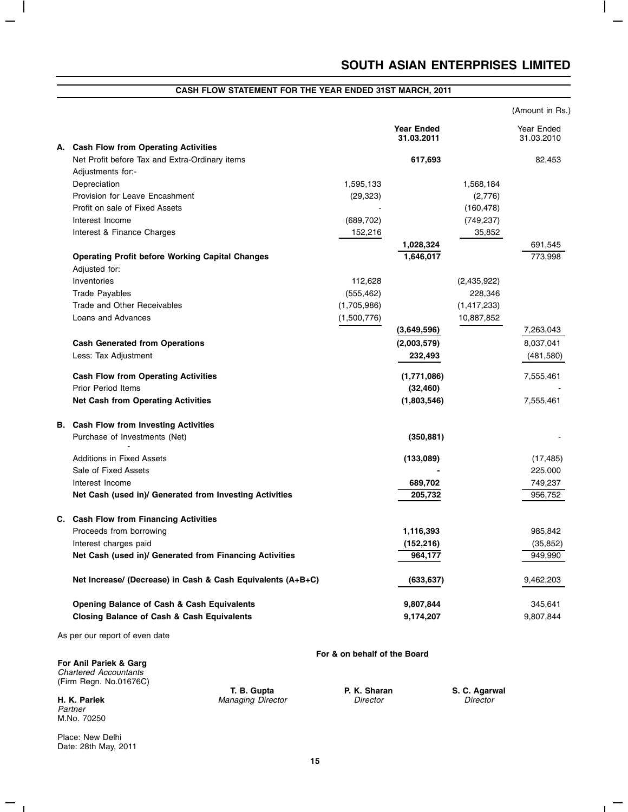$\overline{\phantom{a}}$ 

# **CASH FLOW STATEMENT FOR THE YEAR ENDED 31ST MARCH, 2011**

|                                                             |             |                                 |             | (Amount in Rs.)          |
|-------------------------------------------------------------|-------------|---------------------------------|-------------|--------------------------|
|                                                             |             | <b>Year Ended</b><br>31.03.2011 |             | Year Ended<br>31.03.2010 |
| A. Cash Flow from Operating Activities                      |             |                                 |             |                          |
| Net Profit before Tax and Extra-Ordinary items              |             | 617,693                         |             | 82,453                   |
| Adjustments for:-                                           |             |                                 |             |                          |
| Depreciation                                                | 1,595,133   |                                 | 1,568,184   |                          |
| Provision for Leave Encashment                              | (29, 323)   |                                 | (2,776)     |                          |
| Profit on sale of Fixed Assets                              |             |                                 | (160, 478)  |                          |
| Interest Income                                             | (689, 702)  |                                 | (749, 237)  |                          |
| Interest & Finance Charges                                  | 152,216     |                                 | 35,852      |                          |
|                                                             |             | 1,028,324                       |             | 691,545                  |
| <b>Operating Profit before Working Capital Changes</b>      |             | 1,646,017                       |             | 773.998                  |
| Adjusted for:                                               |             |                                 |             |                          |
| Inventories                                                 | 112,628     |                                 | (2,435,922) |                          |
| <b>Trade Payables</b>                                       | (555, 462)  |                                 | 228,346     |                          |
| Trade and Other Receivables                                 | (1,705,986) |                                 | (1,417,233) |                          |
| Loans and Advances                                          | (1,500,776) |                                 | 10,887,852  |                          |
|                                                             |             | (3,649,596)                     |             | 7,263,043                |
| <b>Cash Generated from Operations</b>                       |             | (2,003,579)                     |             | 8,037,041                |
| Less: Tax Adjustment                                        |             | 232,493                         |             | (481,580)                |
| <b>Cash Flow from Operating Activities</b>                  |             | (1,771,086)                     |             | 7,555,461                |
| <b>Prior Period Items</b>                                   |             | (32, 460)                       |             |                          |
| <b>Net Cash from Operating Activities</b>                   |             | (1,803,546)                     |             | 7,555,461                |
| <b>B.</b> Cash Flow from Investing Activities               |             |                                 |             |                          |
| Purchase of Investments (Net)                               |             | (350, 881)                      |             |                          |
| <b>Additions in Fixed Assets</b>                            |             | (133,089)                       |             | (17, 485)                |
| Sale of Fixed Assets                                        |             |                                 |             | 225,000                  |
| Interest Income                                             |             | 689,702                         |             | 749,237                  |
| Net Cash (used in)/ Generated from Investing Activities     |             | 205,732                         |             | 956,752                  |
|                                                             |             |                                 |             |                          |
| C. Cash Flow from Financing Activities                      |             |                                 |             |                          |
| Proceeds from borrowing                                     |             | 1,116,393                       |             | 985,842                  |
| Interest charges paid                                       |             | (152, 216)                      |             | (35, 852)                |
| Net Cash (used in)/ Generated from Financing Activities     |             | 964,177                         |             | 949,990                  |
| Net Increase/ (Decrease) in Cash & Cash Equivalents (A+B+C) |             | (633,637)                       |             | 9,462,203                |
| <b>Opening Balance of Cash &amp; Cash Equivalents</b>       |             | 9,807,844                       |             | 345,641                  |
| <b>Closing Balance of Cash &amp; Cash Equivalents</b>       |             | 9,174,207                       |             | 9,807,844                |
| As per our report of even date                              |             |                                 |             |                          |

**For Anil Pariek & Garg** Chartered Accountants (Firm Regn. No.01676C)

Partner M.No. 70250

 $\overline{\phantom{m}}$  $\sim 1$ 

 $\vert$ 

**H. K. Pariek**  Managing Director **Director** Director **Director** Director **Director** 

**For & on behalf of the Board**

**T. B. Gupta P. K. Sharan S. C. Agarwal** 

 $\mathbf{L}$ 

Place: New Delhi Date: 28th May, 2011